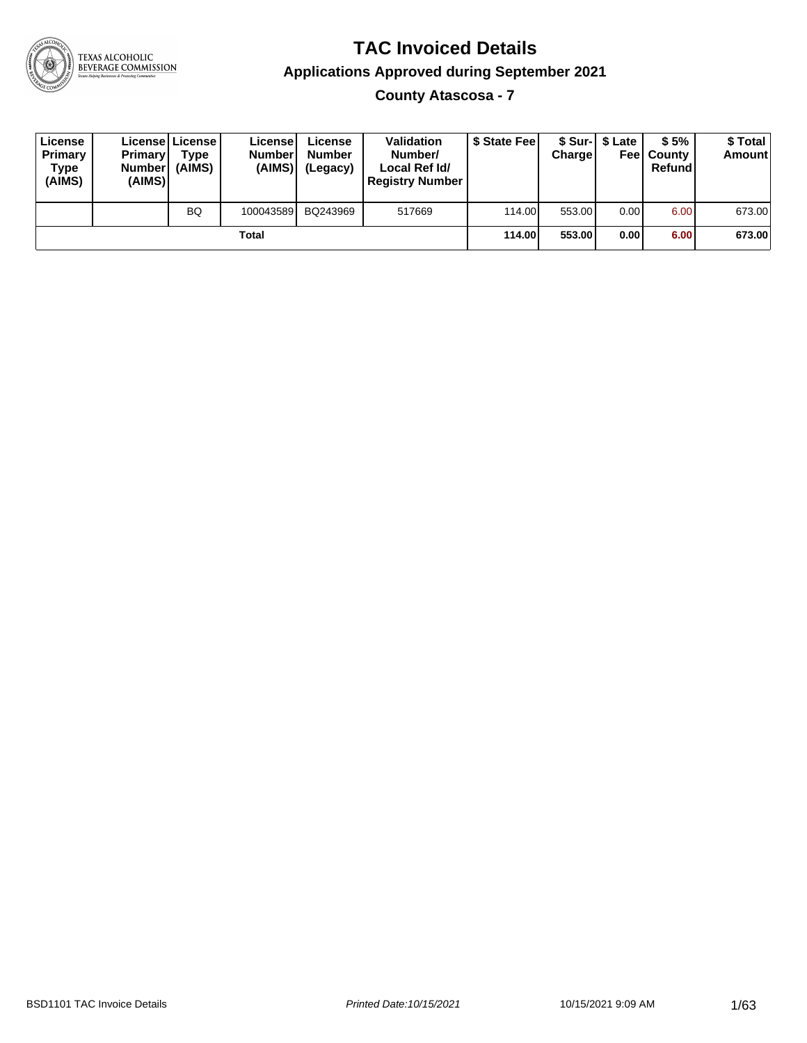

# TEXAS ALCOHOLIC<br>BEVERAGE COMMISSION

### **TAC Invoiced Details Applications Approved during September 2021**

**County Atascosa - 7**

| License<br>Primary<br>Type<br>(AIMS) | <b>Primary</b><br><b>Number</b><br>(AIMS) | Licensel License I<br>Type<br>(AIMS) | License<br><b>Number</b><br>(AIMS) | License<br><b>Number</b><br>(Legacy) | <b>Validation</b><br>Number/<br>Local Ref Id/<br><b>Registry Number</b> | \$ State Feel | Charge | \$ Sur-1 \$ Late | \$5%<br><b>Feel County</b><br>Refund | \$ Total<br><b>Amount</b> |
|--------------------------------------|-------------------------------------------|--------------------------------------|------------------------------------|--------------------------------------|-------------------------------------------------------------------------|---------------|--------|------------------|--------------------------------------|---------------------------|
|                                      |                                           | <b>BQ</b>                            | 100043589                          | BQ243969                             | 517669                                                                  | 114.00        | 553.00 | 0.00             | 6.00                                 | 673.00                    |
|                                      |                                           |                                      | Total                              |                                      |                                                                         | 114.00        | 553.00 | 0.00             | 6.00                                 | 673.00                    |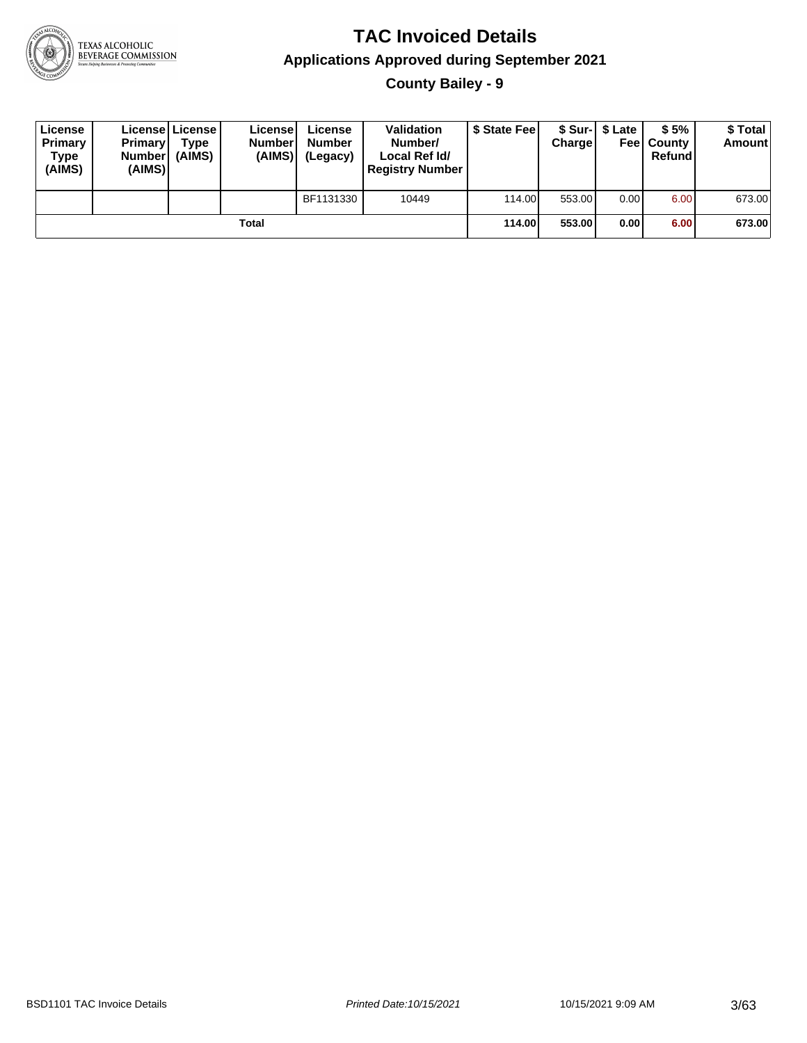

**County Bailey - 9**

| License<br>Primary<br><b>Type</b><br>(AIMS) | <b>Primary</b><br><b>Number</b><br>(AIMS) | License   License  <br>Type<br>(AIMS) | Licensel<br><b>Number</b><br>(AIMS) | License<br><b>Number</b><br>(Legacy) | <b>Validation</b><br>Number/<br>Local Ref Id/<br><b>Registry Number</b> | \$ State Feel | Charge | \$ Sur-1 \$ Late | \$5%<br><b>Feel County</b><br>Refund | \$Total<br><b>Amount</b> |
|---------------------------------------------|-------------------------------------------|---------------------------------------|-------------------------------------|--------------------------------------|-------------------------------------------------------------------------|---------------|--------|------------------|--------------------------------------|--------------------------|
|                                             |                                           |                                       |                                     | BF1131330                            | 10449                                                                   | 114.00        | 553.00 | 0.00             | 6.00                                 | 673.00                   |
|                                             |                                           |                                       | Total                               |                                      |                                                                         | 114.00        | 553.00 | 0.00             | 6.00                                 | 673.00                   |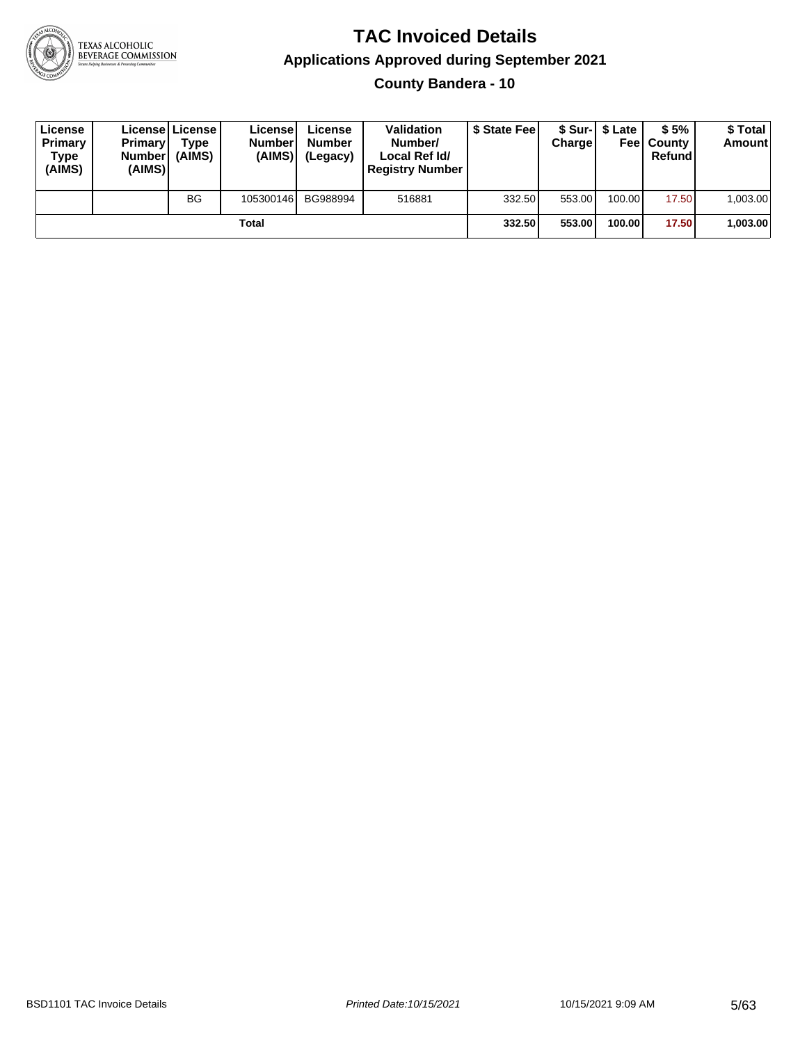

#### **TAC Invoiced Details Applications Approved during September 2021 County Bandera - 10**

| License<br>Primary<br><b>Type</b><br>(AIMS) | <b>Primary</b><br><b>Numberl</b><br>(AIMS) | Licensel License I<br>Type<br>(AIMS) | Licensel<br><b>Number</b><br>(AIMS) | License<br><b>Number</b><br>(Legacy) | <b>Validation</b><br>Number/<br>Local Ref Id/<br><b>Registry Number</b> | \$ State Feel | Chargel | \$ Sur-1 \$ Late | \$5%<br><b>Feel County</b><br>Refund | \$ Total<br><b>Amount</b> |
|---------------------------------------------|--------------------------------------------|--------------------------------------|-------------------------------------|--------------------------------------|-------------------------------------------------------------------------|---------------|---------|------------------|--------------------------------------|---------------------------|
|                                             |                                            | <b>BG</b>                            | 105300146                           | BG988994                             | 516881                                                                  | 332.50        | 553.00  | 100.00           | 17.50                                | 1.003.00                  |
|                                             |                                            |                                      | Total                               |                                      |                                                                         | 332.50        | 553.00  | 100.00           | 17.50                                | 1,003.00                  |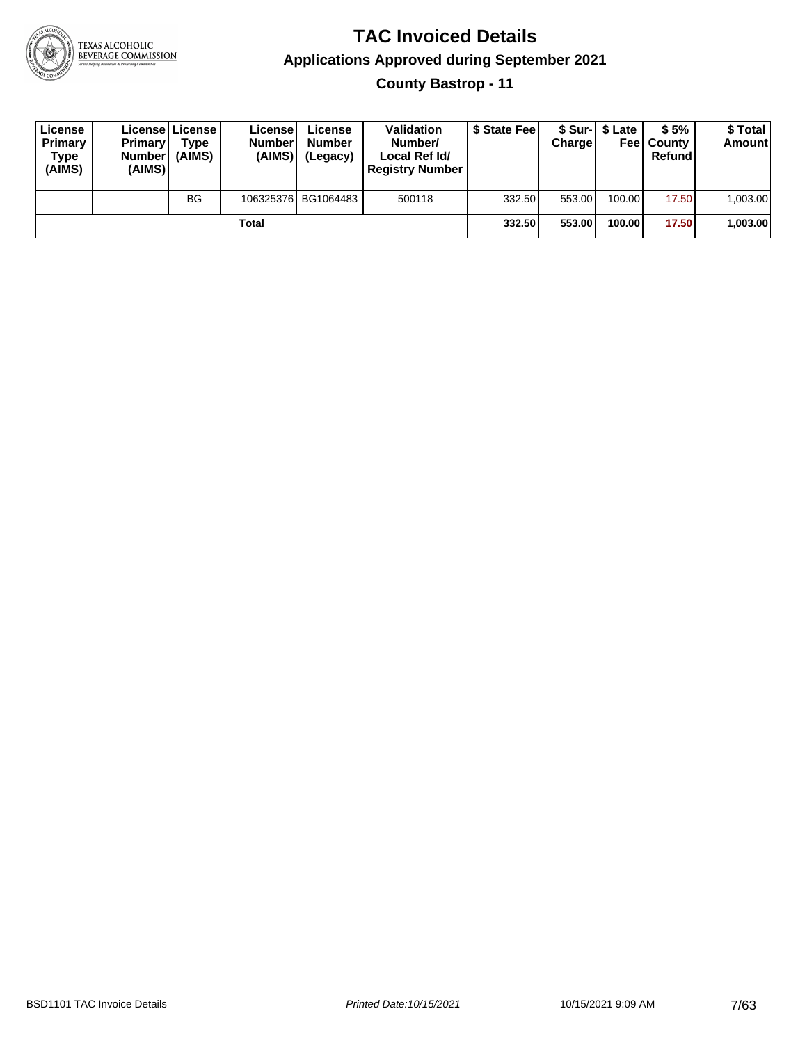

#### **TAC Invoiced Details Applications Approved during September 2021 County Bastrop - 11**

| License<br>Primary<br>Type<br>(AIMS) | <b>Primary</b><br><b>Numberl</b><br>(AIMS) | Licensel License I<br>Type<br>(AIMS) | Licensel<br><b>Number</b><br>(AIMS) | License<br><b>Number</b><br>(Legacy) | <b>Validation</b><br>Number/<br>Local Ref Id/<br><b>Registry Number</b> | \$ State Fee | <b>Charge</b> | \$ Sur-1 \$ Late | \$5%<br><b>Feel County</b><br>Refund | \$ Total<br><b>Amount</b> |
|--------------------------------------|--------------------------------------------|--------------------------------------|-------------------------------------|--------------------------------------|-------------------------------------------------------------------------|--------------|---------------|------------------|--------------------------------------|---------------------------|
|                                      |                                            | <b>BG</b>                            |                                     | 106325376 BG1064483                  | 500118                                                                  | 332.50       | 553.00        | 100.00           | 17.50                                | 1.003.00                  |
|                                      |                                            |                                      | Total                               |                                      |                                                                         | 332.50       | 553.00        | 100.00           | 17.50                                | 1,003.00                  |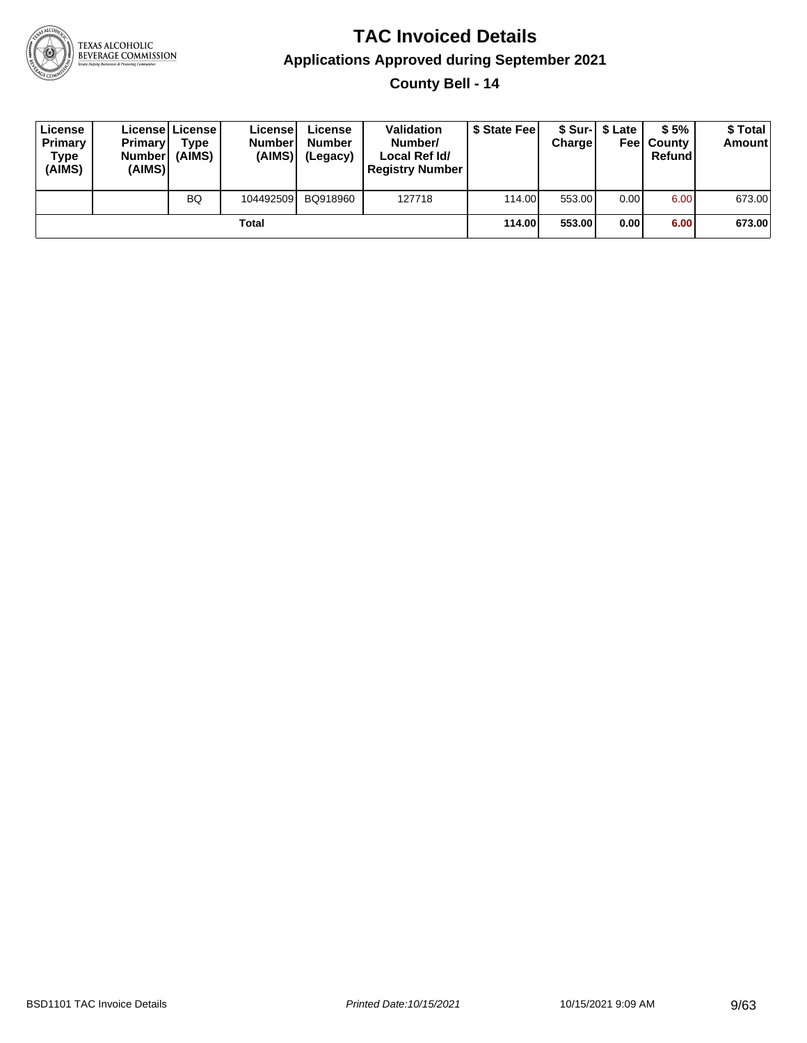

**County Bell - 14**

| License<br>Primary<br>Type<br>(AIMS) | <b>Primary</b><br><b>Number</b><br>(AIMS) | <b>License   License</b><br>Type<br>(AIMS) | License<br><b>Number</b><br>(AIMS) | License<br><b>Number</b><br>(Legacy) | <b>Validation</b><br>Number/<br>Local Ref Id/<br><b>Registry Number</b> | \$ State Feel | Charge | \$ Sur-1 \$ Late | \$5%<br><b>Feel County</b><br>Refund | \$ Total<br><b>Amount</b> |
|--------------------------------------|-------------------------------------------|--------------------------------------------|------------------------------------|--------------------------------------|-------------------------------------------------------------------------|---------------|--------|------------------|--------------------------------------|---------------------------|
|                                      |                                           | <b>BQ</b>                                  | 104492509                          | BQ918960                             | 127718                                                                  | 114.00        | 553.00 | 0.00             | 6.00                                 | 673.00                    |
|                                      |                                           |                                            | Total                              |                                      |                                                                         | 114.00        | 553.00 | 0.00             | 6.00                                 | 673.00                    |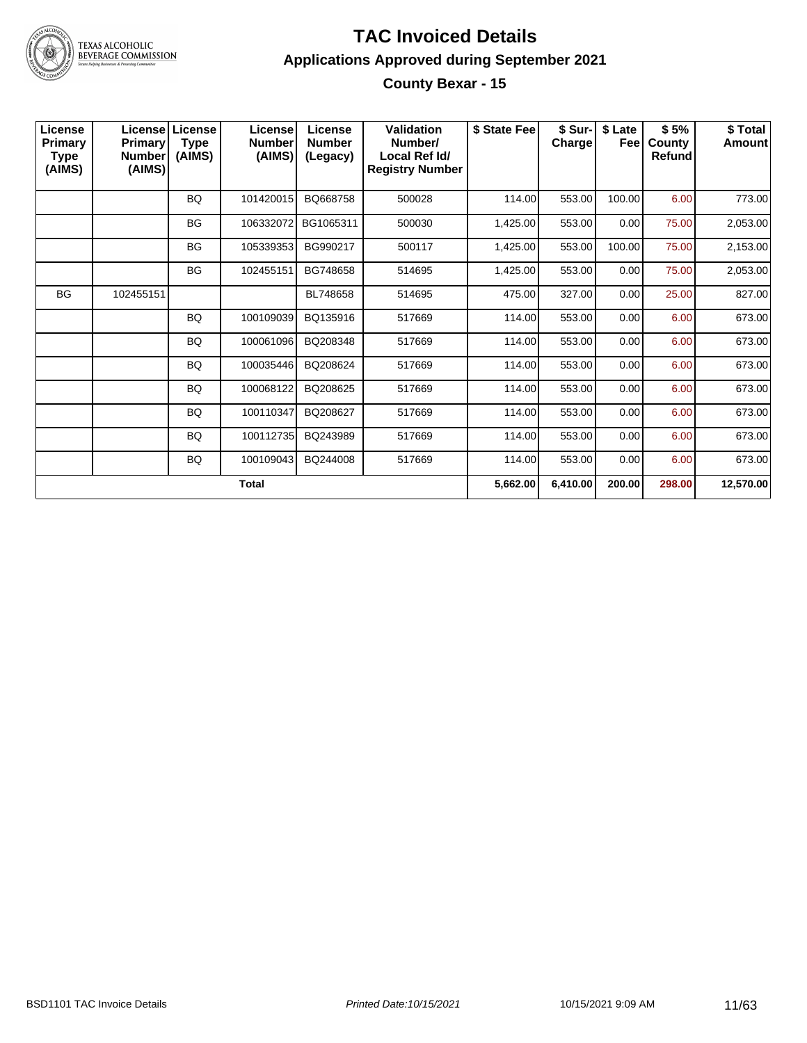

#### **TAC Invoiced Details Applications Approved during September 2021 County Bexar - 15**

| License<br>Primary<br>Type<br>(AIMS) | Primary<br><b>Number</b><br>(AIMS) | Licensel License<br><b>Type</b><br>(AIMS) | License<br><b>Number</b><br>(AIMS) | License<br><b>Number</b><br>(Legacy) | Validation<br>Number/<br>Local Ref Id/<br><b>Registry Number</b> | \$ State Fee | \$ Sur-<br>Charge | \$ Late<br><b>Fee</b> | \$5%<br>County<br>Refund | \$Total<br><b>Amount</b> |
|--------------------------------------|------------------------------------|-------------------------------------------|------------------------------------|--------------------------------------|------------------------------------------------------------------|--------------|-------------------|-----------------------|--------------------------|--------------------------|
|                                      |                                    | <b>BQ</b>                                 | 101420015                          | BQ668758                             | 500028                                                           | 114.00       | 553.00            | 100.00                | 6.00                     | 773.00                   |
|                                      |                                    | <b>BG</b>                                 | 106332072                          | BG1065311                            | 500030                                                           | 1,425.00     | 553.00            | 0.00                  | 75.00                    | 2,053.00                 |
|                                      |                                    | <b>BG</b>                                 | 105339353                          | BG990217                             | 500117                                                           | 1,425.00     | 553.00            | 100.00                | 75.00                    | 2,153.00                 |
|                                      |                                    | <b>BG</b>                                 | 102455151                          | BG748658                             | 514695                                                           | 1,425.00     | 553.00            | 0.00                  | 75.00                    | 2,053.00                 |
| <b>BG</b>                            | 102455151                          |                                           |                                    | BL748658                             | 514695                                                           | 475.00       | 327.00            | 0.00                  | 25.00                    | 827.00                   |
|                                      |                                    | <b>BQ</b>                                 | 100109039                          | BQ135916                             | 517669                                                           | 114.00       | 553.00            | 0.00                  | 6.00                     | 673.00                   |
|                                      |                                    | <b>BQ</b>                                 | 100061096                          | BQ208348                             | 517669                                                           | 114.00       | 553.00            | 0.00                  | 6.00                     | 673.00                   |
|                                      |                                    | <b>BQ</b>                                 | 100035446                          | BQ208624                             | 517669                                                           | 114.00       | 553.00            | 0.00                  | 6.00                     | 673.00                   |
|                                      |                                    | BQ                                        | 100068122                          | BQ208625                             | 517669                                                           | 114.00       | 553.00            | 0.00                  | 6.00                     | 673.00                   |
|                                      |                                    | BQ                                        | 100110347                          | BQ208627                             | 517669                                                           | 114.00       | 553.00            | 0.00                  | 6.00                     | 673.00                   |
|                                      |                                    | <b>BQ</b>                                 | 100112735                          | BQ243989                             | 517669                                                           | 114.00       | 553.00            | 0.00                  | 6.00                     | 673.00                   |
|                                      |                                    | BQ                                        | 100109043                          | BQ244008                             | 517669                                                           | 114.00       | 553.00            | 0.00                  | 6.00                     | 673.00                   |
|                                      |                                    |                                           | <b>Total</b>                       |                                      |                                                                  | 5,662.00     | 6,410.00          | 200.00                | 298.00                   | 12,570.00                |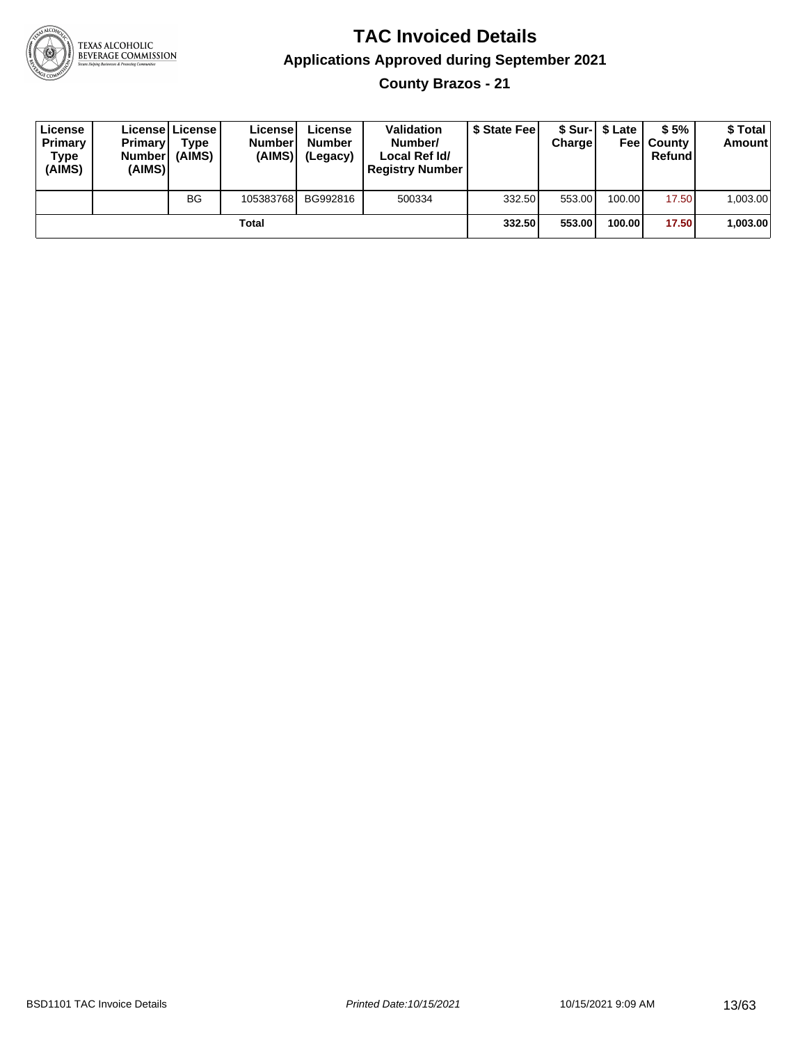

**County Brazos - 21**

| License<br>Primary<br><b>Type</b><br>(AIMS) | <b>Primary</b><br><b>Number</b><br>(AIMS) | License   License  <br>Type<br>(AIMS) | License<br><b>Number</b><br>(AIMS) | License<br><b>Number</b><br>(Legacy) | <b>Validation</b><br>Number/<br>Local Ref Id/<br><b>Registry Number</b> | \$ State Feel | Charge | \$ Sur-1 \$ Late | \$5%<br><b>Feel County</b><br>Refundl | \$ Total<br>Amount |
|---------------------------------------------|-------------------------------------------|---------------------------------------|------------------------------------|--------------------------------------|-------------------------------------------------------------------------|---------------|--------|------------------|---------------------------------------|--------------------|
|                                             |                                           | <b>BG</b>                             | 105383768                          | BG992816                             | 500334                                                                  | 332.50        | 553.00 | 100.00           | 17.50                                 | 1,003.00           |
|                                             |                                           |                                       | Total                              |                                      |                                                                         | 332.50        | 553.00 | 100.00           | 17.50                                 | 1,003.00           |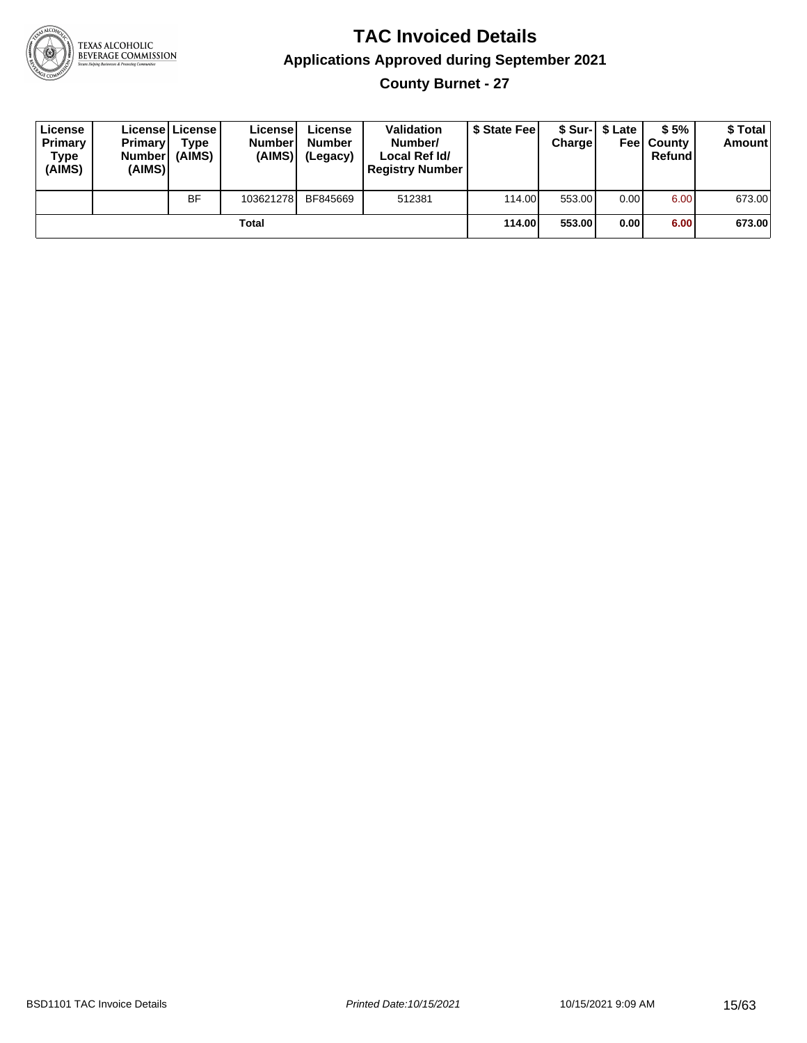

#### **TAC Invoiced Details Applications Approved during September 2021 County Burnet - 27**

| License<br>Primary<br>Type<br>(AIMS) | <b>Primary</b><br><b>Number</b><br>(AIMS) | Licensel License I<br>Type<br>(AIMS) | Licensel<br><b>Number</b><br>(AIMS) | License<br><b>Number</b><br>(Legacy) | <b>Validation</b><br>Number/<br>Local Ref Id/<br><b>Registry Number</b> | \$ State Feel | Chargel | \$ Sur-1 \$ Late | \$5%<br><b>Feel County</b><br>Refund | \$ Total<br><b>Amount</b> |
|--------------------------------------|-------------------------------------------|--------------------------------------|-------------------------------------|--------------------------------------|-------------------------------------------------------------------------|---------------|---------|------------------|--------------------------------------|---------------------------|
|                                      |                                           | <b>BF</b>                            | 103621278                           | BF845669                             | 512381                                                                  | 114.00        | 553.00  | 0.00             | 6.00                                 | 673.00                    |
|                                      |                                           |                                      | Total                               |                                      |                                                                         | 114.00        | 553.00  | 0.00             | 6.00                                 | 673.00                    |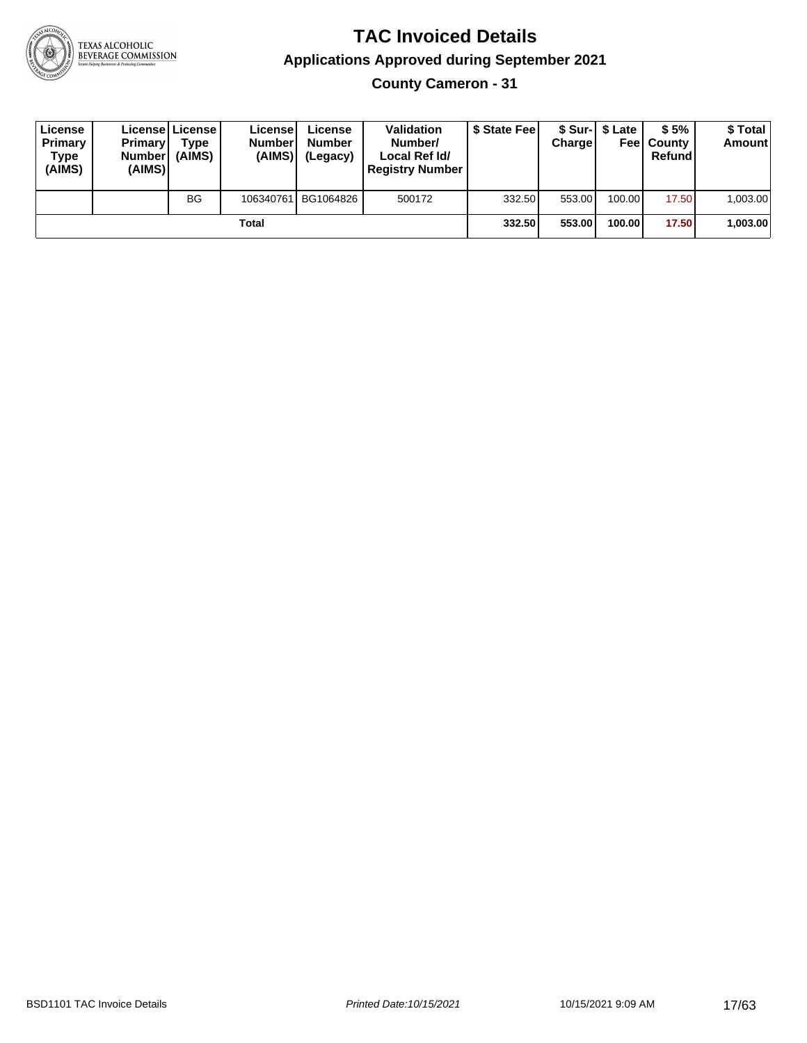

**County Cameron - 31**

| License<br>Primary<br>Type<br>(AIMS) | <b>Primary</b><br><b>Number</b><br>(AIMS) | License   License  <br>Type<br>(AIMS) | License<br><b>Numberl</b><br>(AIMS) | License<br><b>Number</b><br>(Legacy) | <b>Validation</b><br>Number/<br>Local Ref Id/<br><b>Registry Number</b> | \$ State Feel | Charge | \$ Sur-1 \$ Late | \$5%<br><b>Feel County</b><br>Refund | \$ Total<br>Amount |
|--------------------------------------|-------------------------------------------|---------------------------------------|-------------------------------------|--------------------------------------|-------------------------------------------------------------------------|---------------|--------|------------------|--------------------------------------|--------------------|
|                                      |                                           | <b>BG</b>                             |                                     | 106340761 BG1064826                  | 500172                                                                  | 332.50        | 553.00 | 100.00           | 17.50                                | 1,003.00           |
|                                      |                                           |                                       | Total                               |                                      |                                                                         | 332.50        | 553.00 | 100.00           | 17.50                                | 1,003.00           |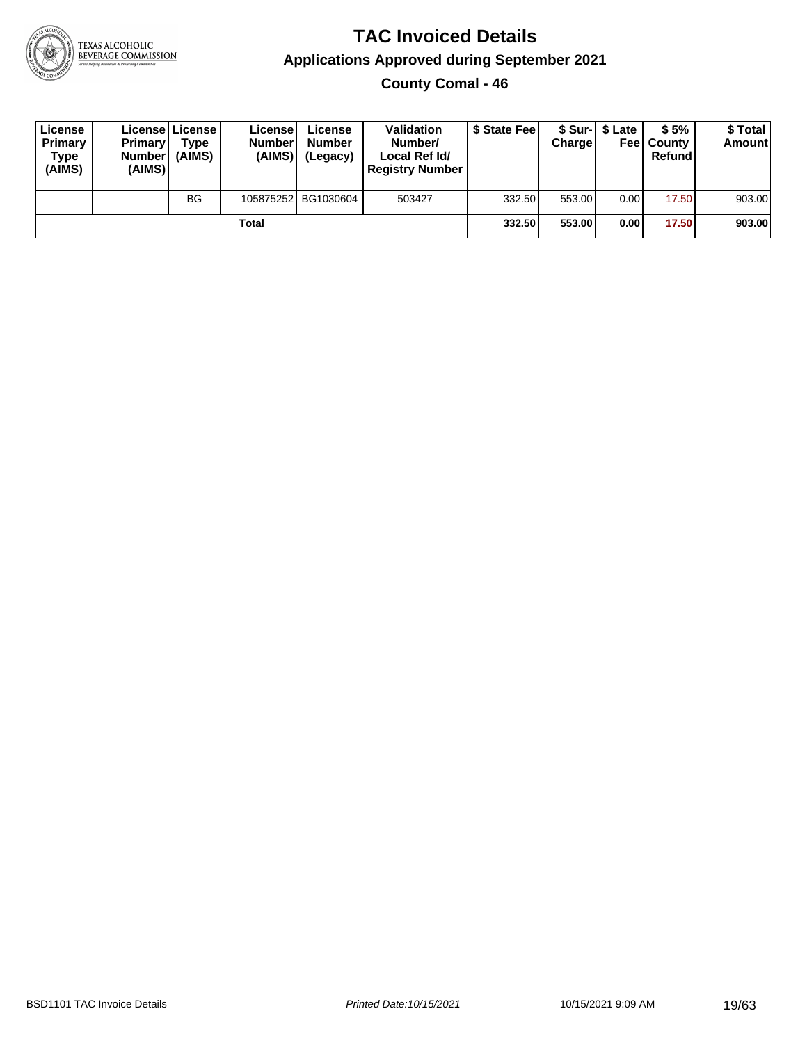

**County Comal - 46**

| License<br>Primary<br>Type<br>(AIMS) | <b>Primary</b><br><b>Number</b><br>(AIMS) | Licensel License<br>Type<br>(AIMS) | License'<br><b>Numberl</b><br>(AIMS) | License<br><b>Number</b><br>(Legacy) | <b>Validation</b><br>Number/<br>Local Ref Id/<br><b>Registry Number</b> | \$ State Feel | Charge | \$ Sur-1 \$ Late | \$5%<br><b>Feel County</b><br>Refund | \$ Total<br><b>Amount</b> |
|--------------------------------------|-------------------------------------------|------------------------------------|--------------------------------------|--------------------------------------|-------------------------------------------------------------------------|---------------|--------|------------------|--------------------------------------|---------------------------|
|                                      |                                           | <b>BG</b>                          |                                      | 105875252 BG1030604                  | 503427                                                                  | 332.50        | 553.00 | 0.00             | 17.50                                | 903.00                    |
|                                      |                                           |                                    | Total                                |                                      |                                                                         | 332.50        | 553.00 | 0.00             | 17.50                                | 903.00                    |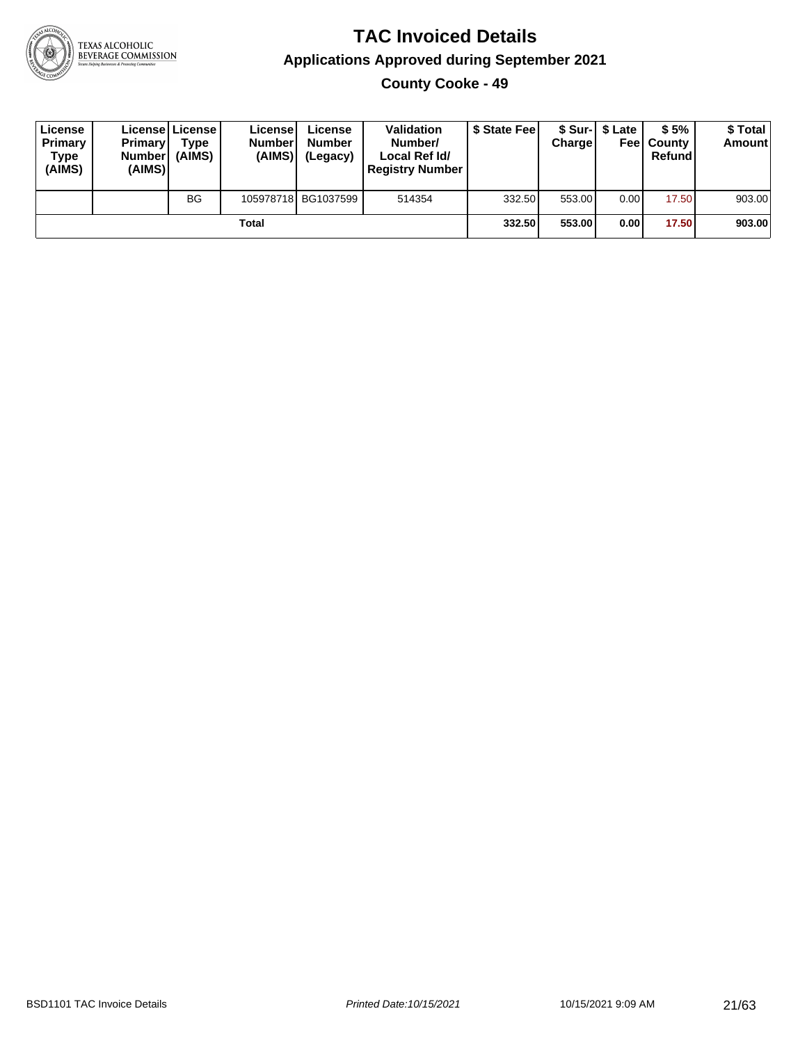

**County Cooke - 49**

| License<br>Primary<br>Type<br>(AIMS) | <b>Primary</b><br><b>Number</b><br>(AIMS) | <b>License   License</b><br>Type<br>(AIMS) | License<br><b>Number</b><br>(AIMS) | License<br><b>Number</b><br>(Legacy) | <b>Validation</b><br>Number/<br>Local Ref Id/<br><b>Registry Number</b> | \$ State Feel | Charge | \$ Sur-1 \$ Late | \$5%<br><b>Feel County</b><br>Refund | \$ Total<br><b>Amount</b> |
|--------------------------------------|-------------------------------------------|--------------------------------------------|------------------------------------|--------------------------------------|-------------------------------------------------------------------------|---------------|--------|------------------|--------------------------------------|---------------------------|
|                                      |                                           | <b>BG</b>                                  |                                    | 105978718 BG1037599                  | 514354                                                                  | 332.50        | 553.00 | 0.00             | 17.50                                | 903.00                    |
|                                      |                                           |                                            | Total                              |                                      |                                                                         | 332.50        | 553.00 | 0.00             | 17.50                                | 903.00                    |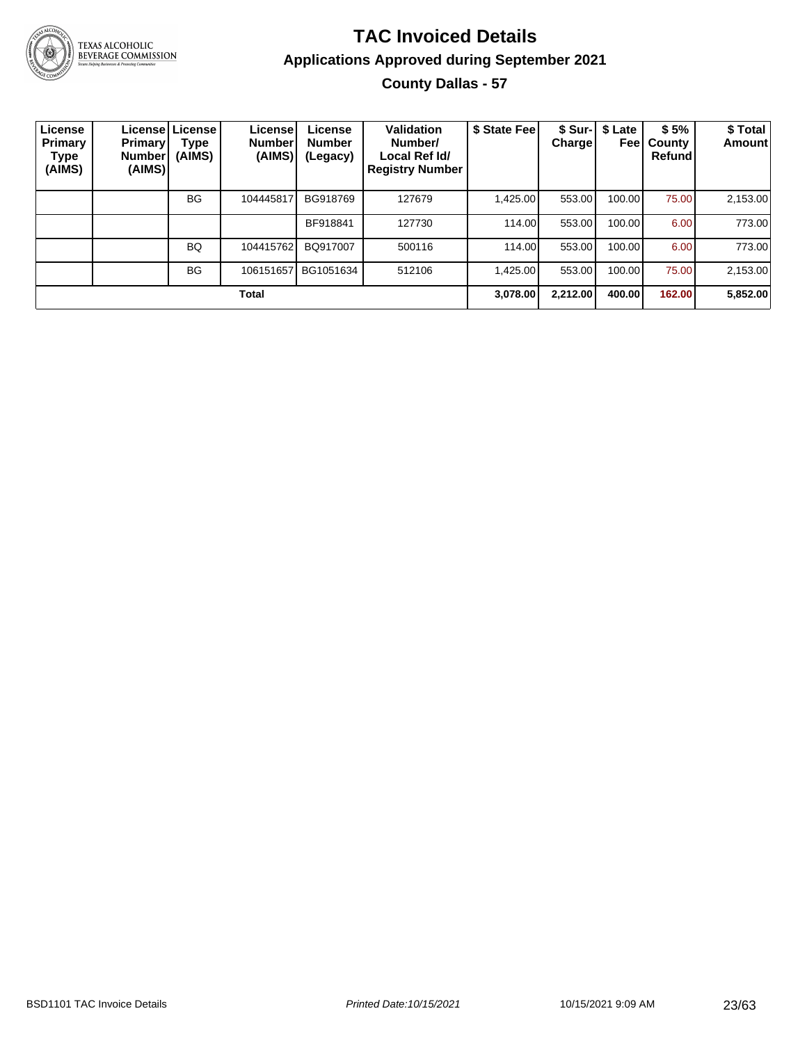

#### **TAC Invoiced Details Applications Approved during September 2021 County Dallas - 57**

| License<br><b>Primary</b><br>Type<br>(AIMS) | Primary!<br><b>Number</b><br>(AIMS) | Licensel License<br>Type<br>(AIMS) | <b>License!</b><br><b>Number</b><br>(AIMS) | License<br><b>Number</b><br>(Legacy) | <b>Validation</b><br>Number/<br>Local Ref Id/<br><b>Registry Number</b> | \$ State Fee | <b>Charge</b> | \$ Sur-   \$ Late<br>Feel | \$5%<br>County<br>Refund | \$ Total<br>Amount |
|---------------------------------------------|-------------------------------------|------------------------------------|--------------------------------------------|--------------------------------------|-------------------------------------------------------------------------|--------------|---------------|---------------------------|--------------------------|--------------------|
|                                             |                                     | BG                                 | 104445817                                  | BG918769                             | 127679                                                                  | 1,425.00     | 553.00        | 100.00                    | 75.00                    | 2,153.00           |
|                                             |                                     |                                    |                                            | BF918841                             | 127730                                                                  | 114.00       | 553.00        | 100.00                    | 6.00                     | 773.00             |
|                                             |                                     | BQ                                 | 104415762                                  | BQ917007                             | 500116                                                                  | 114.00       | 553.00        | 100.00                    | 6.00                     | 773.00             |
|                                             |                                     | <b>BG</b>                          | 106151657                                  | BG1051634                            | 512106                                                                  | 1.425.00     | 553.00        | 100.00 l                  | 75.00                    | 2,153.00           |
|                                             |                                     |                                    | Total                                      |                                      |                                                                         | 3,078.00     | 2.212.00      | 400.00                    | 162.00                   | 5,852.00           |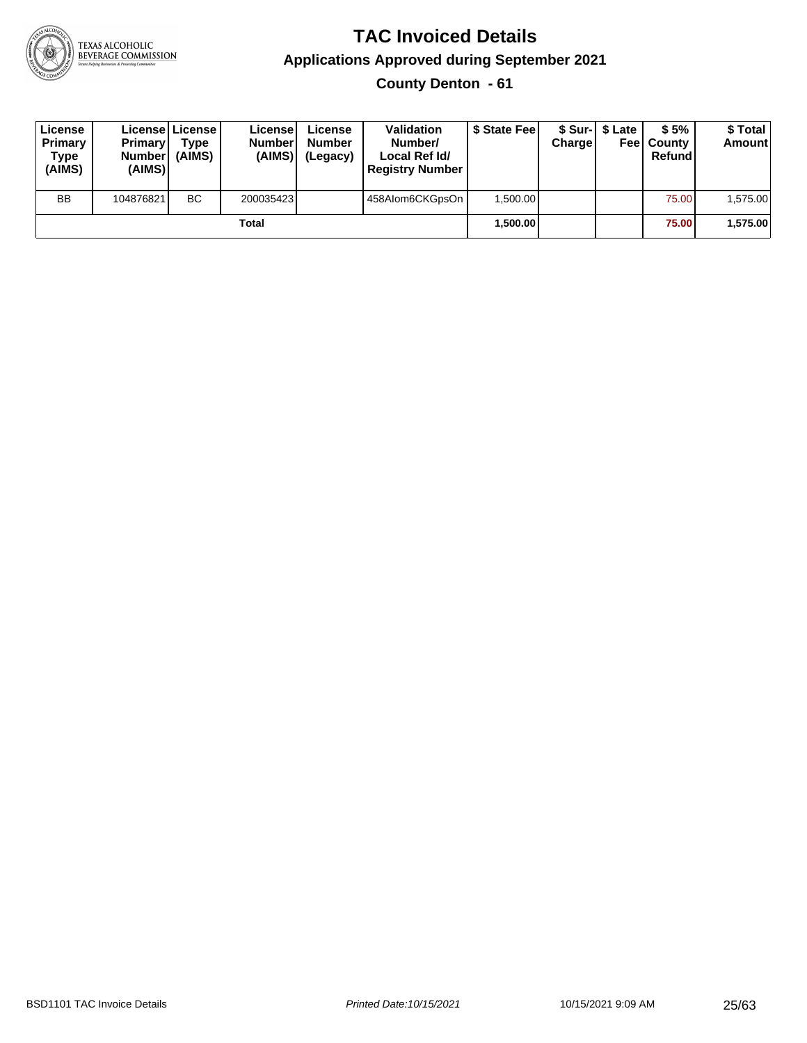

#### **TAC Invoiced Details Applications Approved during September 2021 County Denton - 61**

| License<br>Primary<br>Type<br>(AIMS) | <b>Primary</b><br>Number<br>(AIMS) | Licensel License I<br>Type<br>(AIMS) | License<br><b>Number</b><br>(AIMS) | License<br><b>Number</b><br>(Legacy) | Validation<br>Number/<br>Local Ref Id/<br><b>Registry Number</b> | \$ State Fee | Charge | \$ Sur-1 \$ Late | \$5%<br><b>Feel County</b><br>Refund | \$ Total<br><b>Amount</b> |
|--------------------------------------|------------------------------------|--------------------------------------|------------------------------------|--------------------------------------|------------------------------------------------------------------|--------------|--------|------------------|--------------------------------------|---------------------------|
| <b>BB</b>                            | 104876821                          | <b>BC</b>                            | 200035423                          |                                      | 458Alom6CKGpsOn                                                  | 1.500.00     |        |                  | 75.00                                | 1.575.00                  |
|                                      |                                    |                                      | Total                              |                                      |                                                                  | 1.500.00     |        |                  | 75.00                                | 1,575.00                  |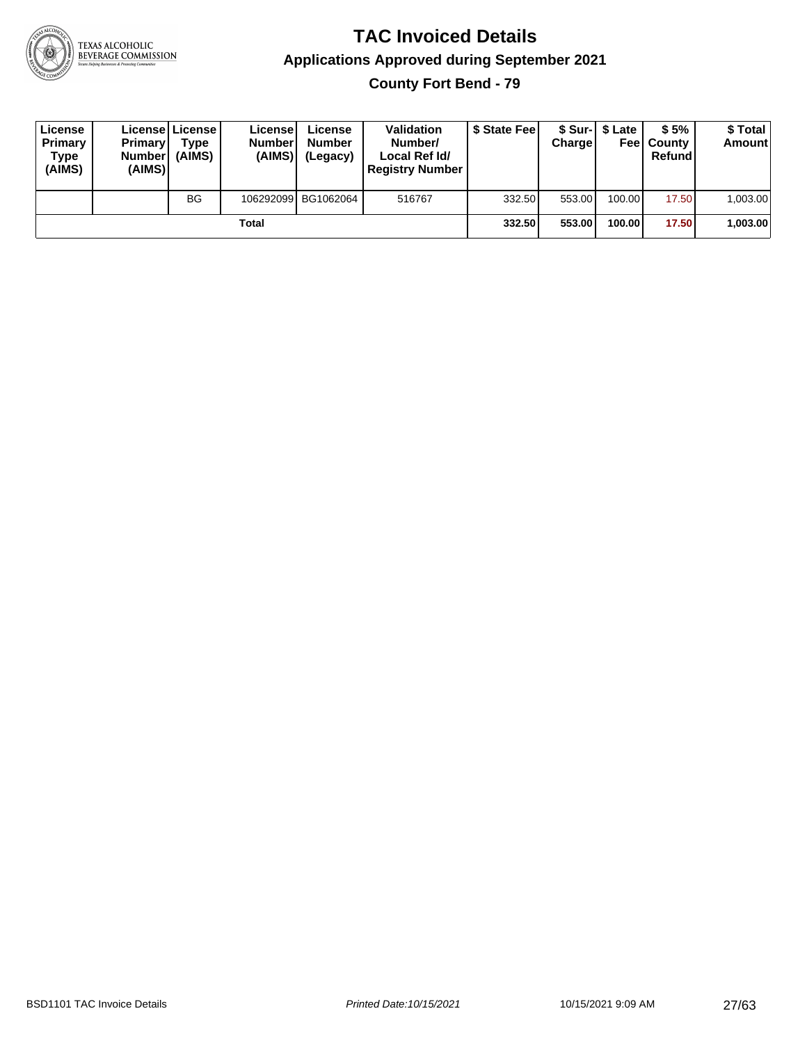

**County Fort Bend - 79**

| License<br>Primary<br>Type<br>(AIMS) | Primary<br><b>Number</b><br>(AIMS) | License License<br>Type<br>(AIMS) | License<br><b>Number</b><br>(AIMS) | License<br><b>Number</b><br>(Legacy) | <b>Validation</b><br>Number/<br>Local Ref Id/<br><b>Registry Number</b> | \$ State Feel | Charge | \$ Sur-1 \$ Late | \$5%<br><b>Feel County</b><br>Refund | \$ Total<br><b>Amount</b> |
|--------------------------------------|------------------------------------|-----------------------------------|------------------------------------|--------------------------------------|-------------------------------------------------------------------------|---------------|--------|------------------|--------------------------------------|---------------------------|
|                                      |                                    | <b>BG</b>                         |                                    | 106292099 BG1062064                  | 516767                                                                  | 332.50        | 553.00 | 100.00           | 17.50                                | 1,003.00                  |
|                                      |                                    |                                   | Total                              |                                      |                                                                         | 332.50        | 553.00 | 100.00           | 17.50                                | 1,003.00                  |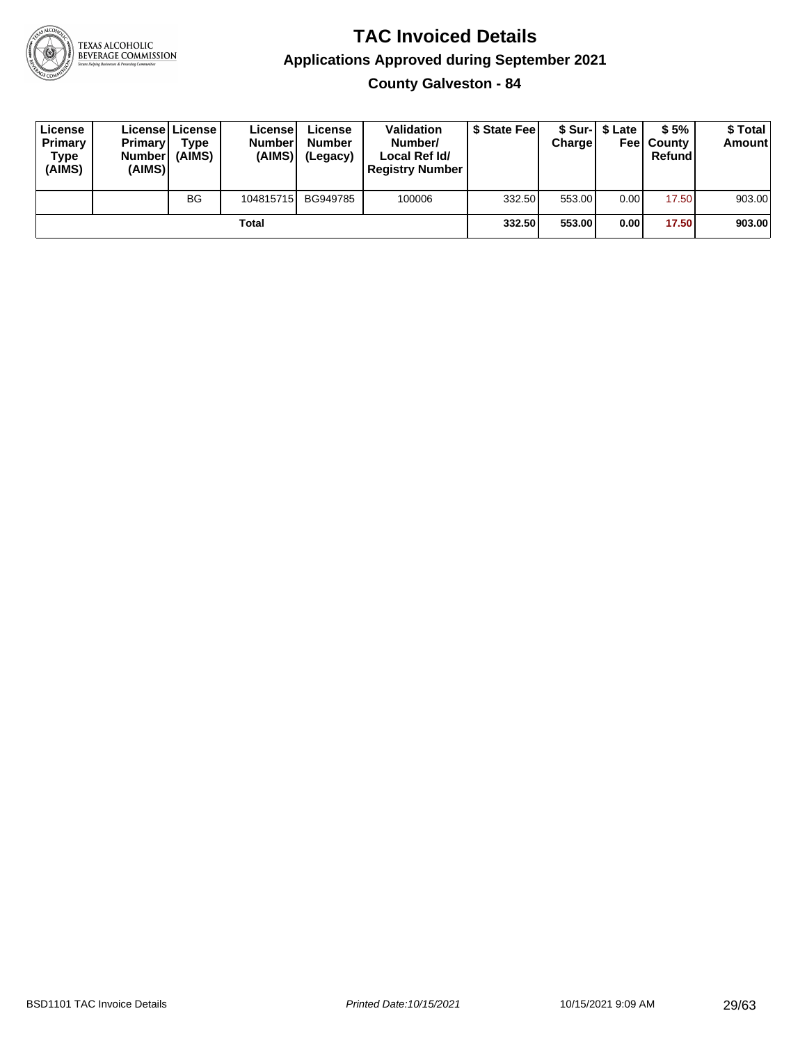

**County Galveston - 84**

| License<br>Primary<br>Type<br>(AIMS) | <b>Primary</b><br><b>Number</b><br>(AIMS) | <b>License   License</b><br>Type<br>(AIMS) | License<br><b>Number</b><br>(AIMS) | License<br><b>Number</b><br>(Legacy) | <b>Validation</b><br>Number/<br>Local Ref Id/<br><b>Registry Number</b> | \$ State Feel | Charge | \$ Sur-1 \$ Late | \$5%<br><b>Feel County</b><br>Refund | \$ Total<br><b>Amount</b> |
|--------------------------------------|-------------------------------------------|--------------------------------------------|------------------------------------|--------------------------------------|-------------------------------------------------------------------------|---------------|--------|------------------|--------------------------------------|---------------------------|
|                                      |                                           | <b>BG</b>                                  | 104815715                          | BG949785                             | 100006                                                                  | 332.50        | 553.00 | 0.00             | 17.50                                | 903.00                    |
|                                      |                                           |                                            | Total                              |                                      |                                                                         | 332.50        | 553.00 | 0.00             | 17.50                                | 903.00                    |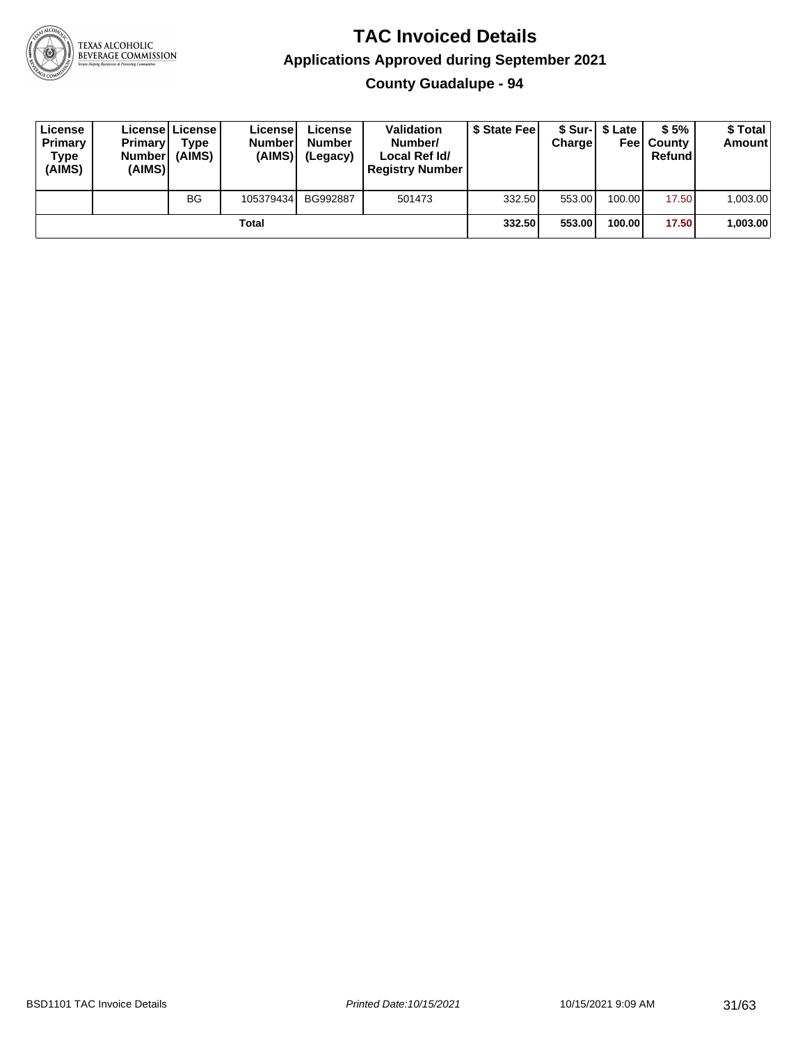

**County Guadalupe - 94**

| License<br>Primary<br>Type<br>(AIMS) | <b>Primary</b><br>Number<br>(AIMS) | <b>License   License</b><br>Type<br>(AIMS) | License<br><b>Numberl</b><br>(AIMS) | License<br><b>Number</b><br>(Legacy) | <b>Validation</b><br>Number/<br>Local Ref Id/<br><b>Registry Number</b> | \$ State Feel | Charge | \$ Sur-1 \$ Late | \$5%<br><b>Feel County</b><br>Refund | \$ Total<br><b>Amount</b> |
|--------------------------------------|------------------------------------|--------------------------------------------|-------------------------------------|--------------------------------------|-------------------------------------------------------------------------|---------------|--------|------------------|--------------------------------------|---------------------------|
|                                      |                                    | BG                                         | 105379434                           | BG992887                             | 501473                                                                  | 332.50        | 553.00 | 100.00           | 17.50                                | 1,003.00                  |
|                                      |                                    |                                            | Total                               |                                      |                                                                         | 332.50        | 553.00 | 100.00           | 17.50                                | 1,003.00                  |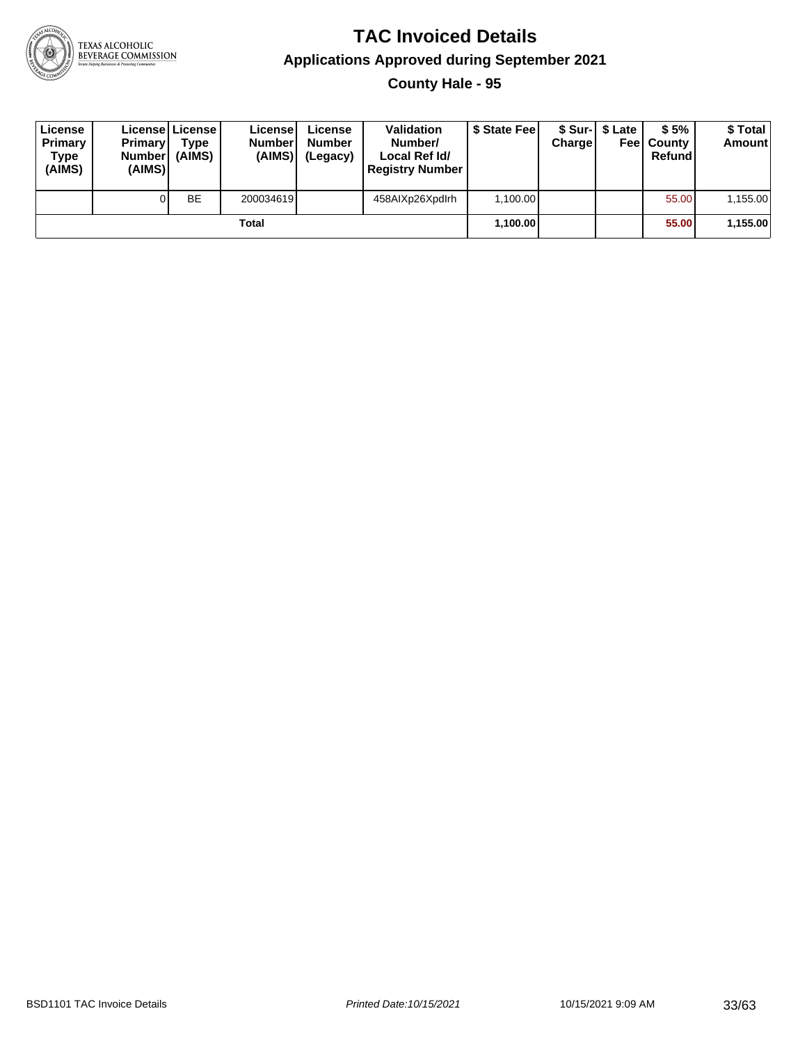

**County Hale - 95**

| License<br>Primary<br>Type<br>(AIMS) | <b>Primary</b><br><b>Number</b><br>(AIMS)I | <b>License   License</b><br>Type<br>(AIMS) | License<br><b>Number</b><br>(AIMS) | License<br><b>Number</b><br>(Legacy) | <b>Validation</b><br>Number/<br>Local Ref Id/<br><b>Registry Number</b> | \$ State Feel | Charge | \$ Sur-1 \$ Late | \$5%<br><b>Feel County</b><br>Refund | \$ Total<br><b>Amount</b> |
|--------------------------------------|--------------------------------------------|--------------------------------------------|------------------------------------|--------------------------------------|-------------------------------------------------------------------------|---------------|--------|------------------|--------------------------------------|---------------------------|
|                                      |                                            | <b>BE</b>                                  | 200034619                          |                                      | 458AIXp26Xpdlrh                                                         | 1,100.00      |        |                  | 55.00                                | 1,155.00                  |
|                                      |                                            |                                            | Total                              |                                      |                                                                         | 1,100.00      |        |                  | 55.00                                | 1,155.00                  |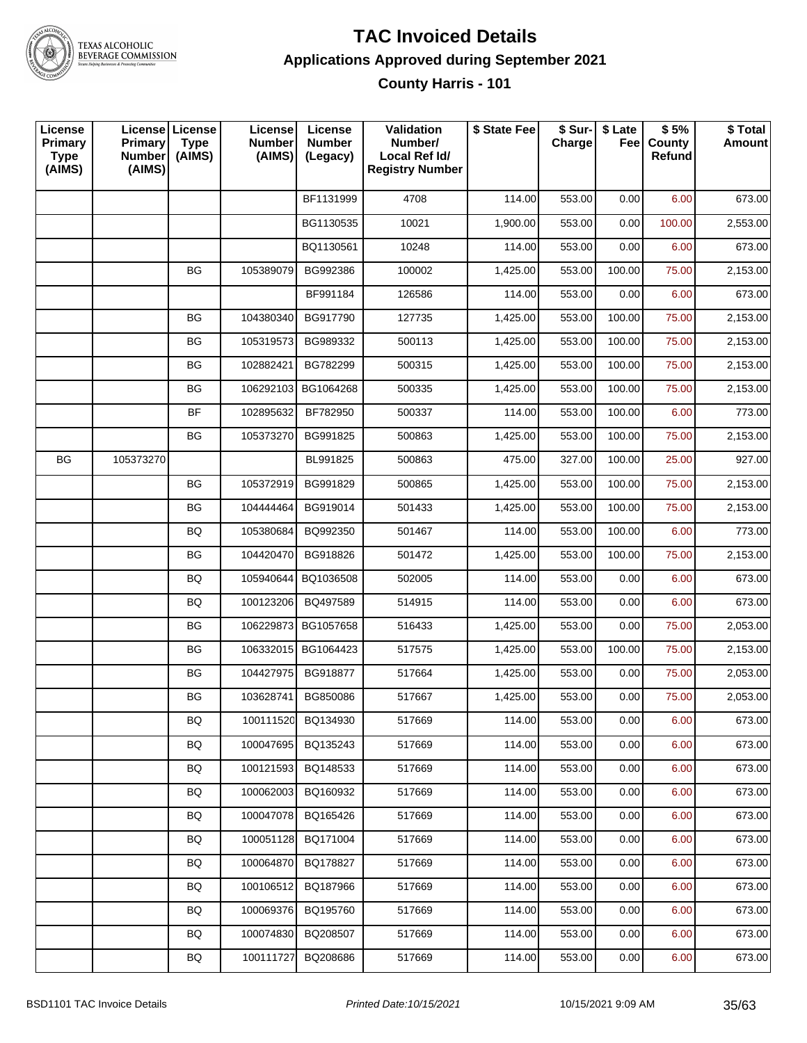

#### **TAC Invoiced Details Applications Approved during September 2021 County Harris - 101**

| License<br><b>Primary</b><br><b>Type</b><br>(AIMS) | License License<br><b>Primary</b><br><b>Number</b><br>(AIMS) | <b>Type</b><br>(AIMS) | License<br><b>Number</b><br>(AIMS) | License<br><b>Number</b><br>(Legacy) | Validation<br>Number/<br>Local Ref Id/<br><b>Registry Number</b> | \$ State Fee | \$ Sur-<br>Charge | \$ Late<br>Feel | \$5%<br>County<br>Refund | \$ Total<br><b>Amount</b> |
|----------------------------------------------------|--------------------------------------------------------------|-----------------------|------------------------------------|--------------------------------------|------------------------------------------------------------------|--------------|-------------------|-----------------|--------------------------|---------------------------|
|                                                    |                                                              |                       |                                    | BF1131999                            | 4708                                                             | 114.00       | 553.00            | 0.00            | 6.00                     | 673.00                    |
|                                                    |                                                              |                       |                                    | BG1130535                            | 10021                                                            | 1,900.00     | 553.00            | 0.00            | 100.00                   | 2,553.00                  |
|                                                    |                                                              |                       |                                    | BQ1130561                            | 10248                                                            | 114.00       | 553.00            | 0.00            | 6.00                     | 673.00                    |
|                                                    |                                                              | <b>BG</b>             | 105389079                          | BG992386                             | 100002                                                           | 1,425.00     | 553.00            | 100.00          | 75.00                    | 2,153.00                  |
|                                                    |                                                              |                       |                                    | BF991184                             | 126586                                                           | 114.00       | 553.00            | 0.00            | 6.00                     | 673.00                    |
|                                                    |                                                              | BG                    | 104380340                          | BG917790                             | 127735                                                           | 1,425.00     | 553.00            | 100.00          | 75.00                    | 2,153.00                  |
|                                                    |                                                              | <b>BG</b>             | 105319573                          | BG989332                             | 500113                                                           | 1,425.00     | 553.00            | 100.00          | 75.00                    | 2,153.00                  |
|                                                    |                                                              | BG                    | 102882421                          | BG782299                             | 500315                                                           | 1,425.00     | 553.00            | 100.00          | 75.00                    | 2,153.00                  |
|                                                    |                                                              | BG                    | 106292103                          | BG1064268                            | 500335                                                           | 1,425.00     | 553.00            | 100.00          | 75.00                    | 2,153.00                  |
|                                                    |                                                              | <b>BF</b>             | 102895632                          | BF782950                             | 500337                                                           | 114.00       | 553.00            | 100.00          | 6.00                     | 773.00                    |
|                                                    |                                                              | ВG                    | 105373270                          | BG991825                             | 500863                                                           | 1,425.00     | 553.00            | 100.00          | 75.00                    | 2,153.00                  |
| BG                                                 | 105373270                                                    |                       |                                    | BL991825                             | 500863                                                           | 475.00       | 327.00            | 100.00          | 25.00                    | 927.00                    |
|                                                    |                                                              | <b>BG</b>             | 105372919                          | BG991829                             | 500865                                                           | 1,425.00     | 553.00            | 100.00          | 75.00                    | 2,153.00                  |
|                                                    |                                                              | <b>BG</b>             | 104444464                          | BG919014                             | 501433                                                           | 1,425.00     | 553.00            | 100.00          | 75.00                    | 2,153.00                  |
|                                                    |                                                              | BQ                    | 105380684                          | BQ992350                             | 501467                                                           | 114.00       | 553.00            | 100.00          | 6.00                     | 773.00                    |
|                                                    |                                                              | BG                    | 104420470                          | BG918826                             | 501472                                                           | 1,425.00     | 553.00            | 100.00          | 75.00                    | 2,153.00                  |
|                                                    |                                                              | BQ                    | 105940644                          | BQ1036508                            | 502005                                                           | 114.00       | 553.00            | 0.00            | 6.00                     | 673.00                    |
|                                                    |                                                              | BQ                    | 100123206                          | BQ497589                             | 514915                                                           | 114.00       | 553.00            | 0.00            | 6.00                     | 673.00                    |
|                                                    |                                                              | BG                    | 106229873                          | BG1057658                            | 516433                                                           | 1,425.00     | 553.00            | 0.00            | 75.00                    | 2,053.00                  |
|                                                    |                                                              | <b>BG</b>             | 106332015                          | BG1064423                            | 517575                                                           | 1,425.00     | 553.00            | 100.00          | 75.00                    | 2,153.00                  |
|                                                    |                                                              | BG                    | 104427975                          | BG918877                             | 517664                                                           | 1,425.00     | 553.00            | 0.00            | 75.00                    | 2,053.00                  |
|                                                    |                                                              | BG                    | 103628741                          | BG850086                             | 517667                                                           | 1,425.00     | 553.00            | 0.00            | 75.00                    | 2,053.00                  |
|                                                    |                                                              | BQ                    | 100111520                          | BQ134930                             | 517669                                                           | 114.00       | 553.00            | 0.00            | 6.00                     | 673.00                    |
|                                                    |                                                              | BQ                    | 100047695                          | BQ135243                             | 517669                                                           | 114.00       | 553.00            | 0.00            | 6.00                     | 673.00                    |
|                                                    |                                                              | BQ                    | 100121593                          | BQ148533                             | 517669                                                           | 114.00       | 553.00            | 0.00            | 6.00                     | 673.00                    |
|                                                    |                                                              | BQ                    | 100062003                          | BQ160932                             | 517669                                                           | 114.00       | 553.00            | 0.00            | 6.00                     | 673.00                    |
|                                                    |                                                              | BQ                    | 100047078                          | BQ165426                             | 517669                                                           | 114.00       | 553.00            | 0.00            | 6.00                     | 673.00                    |
|                                                    |                                                              | BQ                    | 100051128                          | BQ171004                             | 517669                                                           | 114.00       | 553.00            | 0.00            | 6.00                     | 673.00                    |
|                                                    |                                                              | BQ                    | 100064870                          | BQ178827                             | 517669                                                           | 114.00       | 553.00            | 0.00            | 6.00                     | 673.00                    |
|                                                    |                                                              | BQ                    | 100106512                          | BQ187966                             | 517669                                                           | 114.00       | 553.00            | 0.00            | 6.00                     | 673.00                    |
|                                                    |                                                              | BQ                    | 100069376                          | BQ195760                             | 517669                                                           | 114.00       | 553.00            | 0.00            | 6.00                     | 673.00                    |
|                                                    |                                                              | BQ                    | 100074830                          | BQ208507                             | 517669                                                           | 114.00       | 553.00            | 0.00            | 6.00                     | 673.00                    |
|                                                    |                                                              | BQ                    | 100111727                          | BQ208686                             | 517669                                                           | 114.00       | 553.00            | 0.00            | 6.00                     | 673.00                    |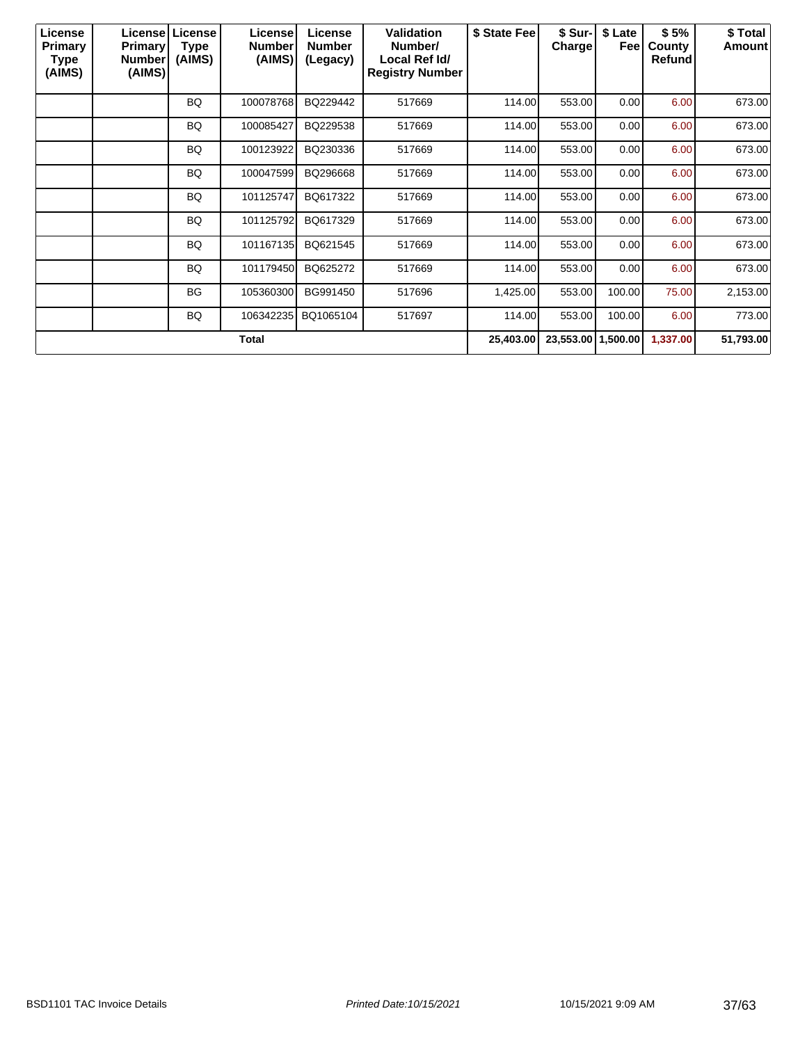| License<br>Primary<br>Type<br>(AIMS) | <b>Primary</b><br><b>Number</b><br>(AIMS) | License   License  <br><b>Type</b><br>(AIMS) | License<br><b>Number</b><br>(AIMS) | License<br><b>Number</b><br>(Legacy) | <b>Validation</b><br>Number/<br>Local Ref Id/<br><b>Registry Number</b> | \$ State Fee | \$ Sur-<br>Charge  | \$ Late<br>Feel | \$5%<br>County<br>Refund | \$ Total<br>Amount |
|--------------------------------------|-------------------------------------------|----------------------------------------------|------------------------------------|--------------------------------------|-------------------------------------------------------------------------|--------------|--------------------|-----------------|--------------------------|--------------------|
|                                      |                                           | <b>BQ</b>                                    | 100078768                          | BQ229442                             | 517669                                                                  | 114.00       | 553.00             | 0.00            | 6.00                     | 673.00             |
|                                      |                                           | BQ                                           | 100085427                          | BQ229538                             | 517669                                                                  | 114.00       | 553.00             | 0.00            | 6.00                     | 673.00             |
|                                      |                                           | BQ                                           | 100123922                          | BQ230336                             | 517669                                                                  | 114.00       | 553.00             | 0.00            | 6.00                     | 673.00             |
|                                      |                                           | BQ                                           | 100047599                          | BQ296668                             | 517669                                                                  | 114.00       | 553.00             | 0.00            | 6.00                     | 673.00             |
|                                      |                                           | BQ                                           | 101125747                          | BQ617322                             | 517669                                                                  | 114.00       | 553.00             | 0.00            | 6.00                     | 673.00             |
|                                      |                                           | BQ.                                          | 101125792                          | BQ617329                             | 517669                                                                  | 114.00       | 553.00             | 0.00            | 6.00                     | 673.00             |
|                                      |                                           | BQ                                           | 101167135                          | BQ621545                             | 517669                                                                  | 114.00       | 553.00             | 0.00            | 6.00                     | 673.00             |
|                                      |                                           | BQ                                           | 101179450                          | BQ625272                             | 517669                                                                  | 114.00       | 553.00             | 0.00            | 6.00                     | 673.00             |
|                                      |                                           | <b>BG</b>                                    | 105360300                          | BG991450                             | 517696                                                                  | 1,425.00     | 553.00             | 100.00          | 75.00                    | 2,153.00           |
|                                      |                                           | BQ                                           | 106342235                          | BQ1065104                            | 517697                                                                  | 114.00       | 553.00             | 100.00          | 6.00                     | 773.00             |
|                                      |                                           |                                              | Total                              |                                      |                                                                         | 25,403.00    | 23,553.00 1,500.00 |                 | 1,337.00                 | 51,793.00          |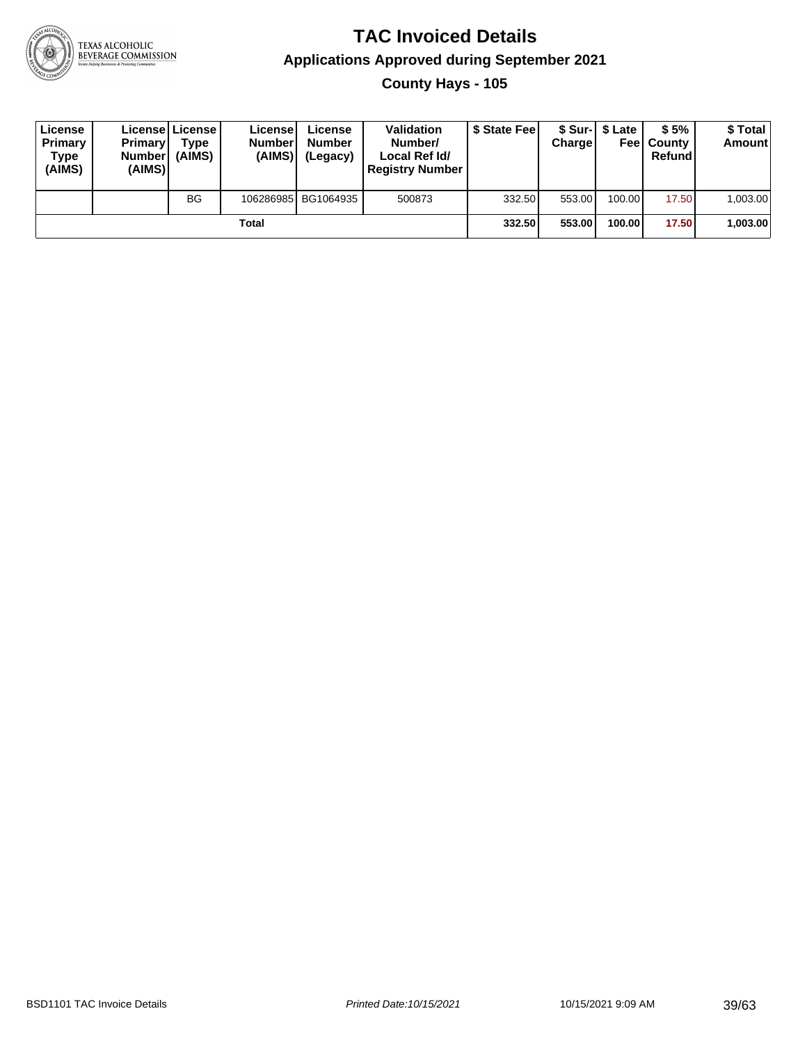

**County Hays - 105**

| License<br>Primary<br>Type<br>(AIMS) | <b>Primary</b><br>Number<br>(AIMS) | <b>License   License</b><br>Type<br>(AIMS) | License'<br><b>Numberl</b><br>(AIMS)! | License<br><b>Number</b><br>(Legacy) | <b>Validation</b><br>Number/<br>Local Ref Id/<br><b>Registry Number</b> | \$ State Feel | Charge | \$ Sur-1 \$ Late | \$5%<br><b>Feel County</b><br>Refund | \$ Total<br><b>Amount</b> |
|--------------------------------------|------------------------------------|--------------------------------------------|---------------------------------------|--------------------------------------|-------------------------------------------------------------------------|---------------|--------|------------------|--------------------------------------|---------------------------|
|                                      |                                    | BG                                         |                                       | 106286985 BG1064935                  | 500873                                                                  | 332.50        | 553.00 | 100.00           | 17.50                                | 1,003.00                  |
|                                      |                                    |                                            | Total                                 |                                      |                                                                         | 332.50        | 553.00 | 100.00           | 17.50                                | 1,003.00                  |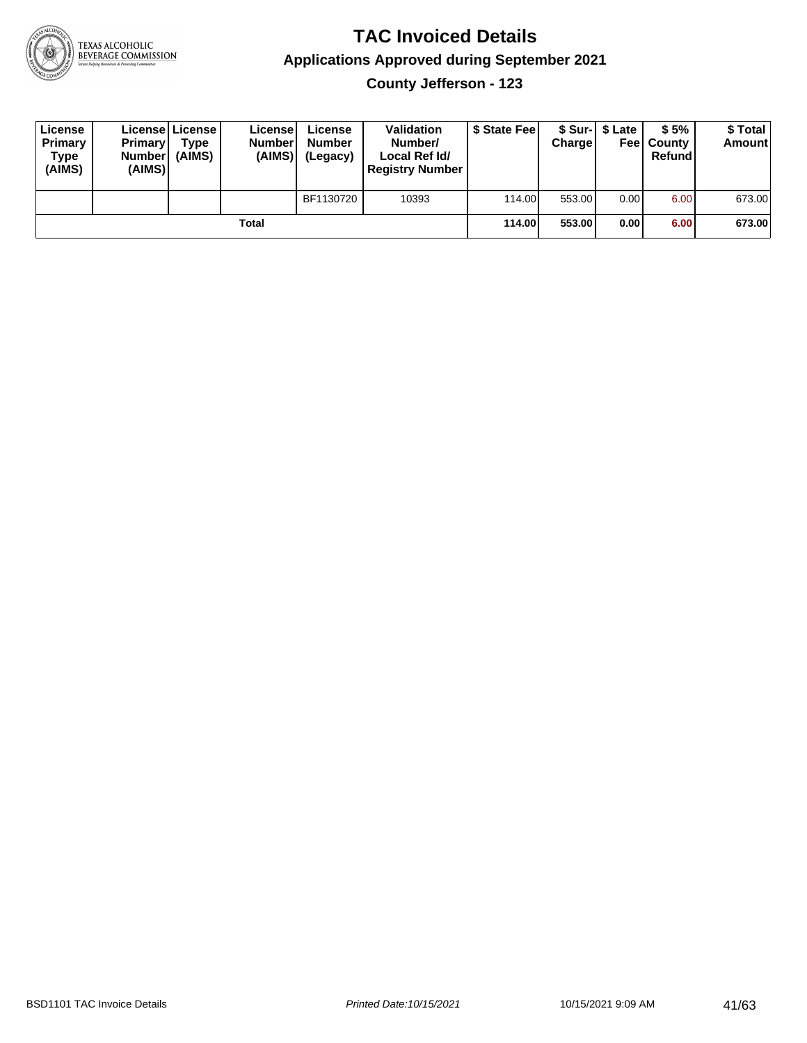

**County Jefferson - 123**

| License<br>Primary<br>Type<br>(AIMS) | <b>Primary</b><br><b>Number</b><br>(AIMS) | License License<br><b>Type</b><br>(AIMS) | License<br><b>Number</b><br>(AIMS) | License<br><b>Number</b><br>(Legacy) | <b>Validation</b><br>Number/<br>Local Ref Id/<br><b>Registry Number</b> | \$ State Feel | Charge | \$ Sur-1 \$ Late | \$5%<br><b>Feel County</b><br>Refund | \$ Total<br><b>Amount</b> |
|--------------------------------------|-------------------------------------------|------------------------------------------|------------------------------------|--------------------------------------|-------------------------------------------------------------------------|---------------|--------|------------------|--------------------------------------|---------------------------|
|                                      |                                           |                                          |                                    | BF1130720                            | 10393                                                                   | 114.00        | 553.00 | 0.00             | 6.00                                 | 673.00                    |
|                                      |                                           |                                          | Total                              |                                      |                                                                         | 114.00        | 553.00 | 0.00             | 6.00                                 | 673.00                    |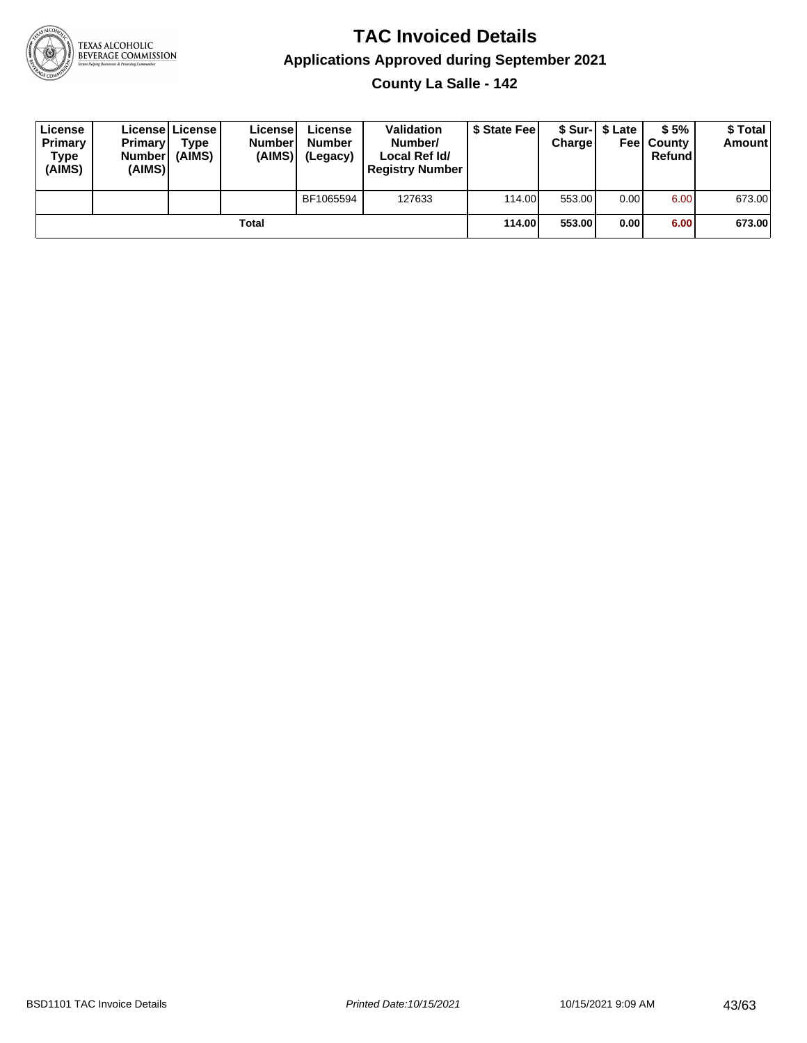

**County La Salle - 142**

| License<br>Primary<br>Type<br>(AIMS) | <b>Primary</b><br><b>Number</b><br>(AIMS) | <b>License   License</b><br>Type<br>(AIMS) | License<br><b>Number</b><br>(AIMS) | License<br><b>Number</b><br>(Legacy) | <b>Validation</b><br>Number/<br>Local Ref Id/<br><b>Registry Number</b> | \$ State Feel | Charge | \$ Sur-1 \$ Late | \$5%<br><b>Feel County</b><br>Refund | \$ Total<br><b>Amount</b> |
|--------------------------------------|-------------------------------------------|--------------------------------------------|------------------------------------|--------------------------------------|-------------------------------------------------------------------------|---------------|--------|------------------|--------------------------------------|---------------------------|
|                                      |                                           |                                            |                                    | BF1065594                            | 127633                                                                  | 114.00        | 553.00 | 0.00             | 6.00                                 | 673.00                    |
|                                      |                                           |                                            | Total                              |                                      |                                                                         | 114.00        | 553.00 | 0.00             | 6.00                                 | 673.00                    |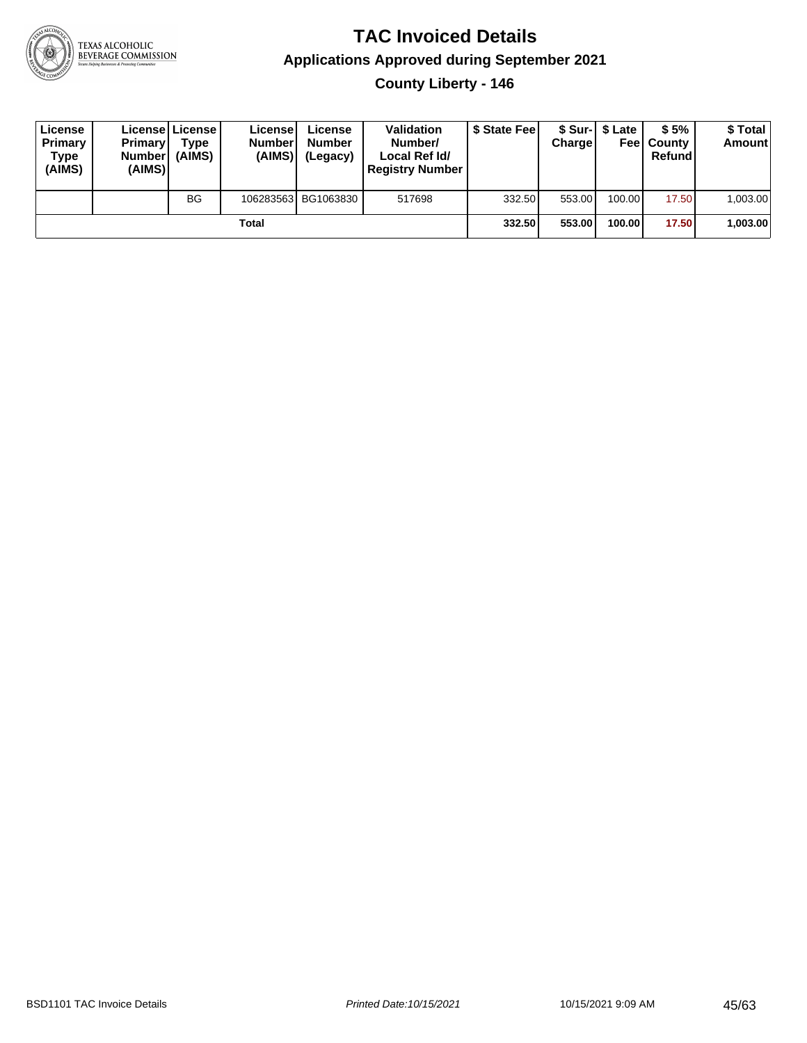

**County Liberty - 146**

| License<br>Primary<br>Type<br>(AIMS) | Primary<br><b>Number</b><br>(AIMS) | License License<br>Type<br>(AIMS) | License<br><b>Number</b><br>(AIMS) | License<br><b>Number</b><br>(Legacy) | <b>Validation</b><br>Number/<br>Local Ref Id/<br><b>Registry Number</b> | \$ State Feel | Charge | \$ Sur-1 \$ Late | \$5%<br><b>Feel County</b><br>Refund | \$ Total<br><b>Amount</b> |
|--------------------------------------|------------------------------------|-----------------------------------|------------------------------------|--------------------------------------|-------------------------------------------------------------------------|---------------|--------|------------------|--------------------------------------|---------------------------|
|                                      |                                    | <b>BG</b>                         |                                    | 106283563 BG1063830                  | 517698                                                                  | 332.50        | 553.00 | 100.00           | 17.50                                | 1,003.00                  |
|                                      |                                    |                                   | Total                              |                                      |                                                                         | 332.50        | 553.00 | 100.00           | 17.50                                | 1,003.00                  |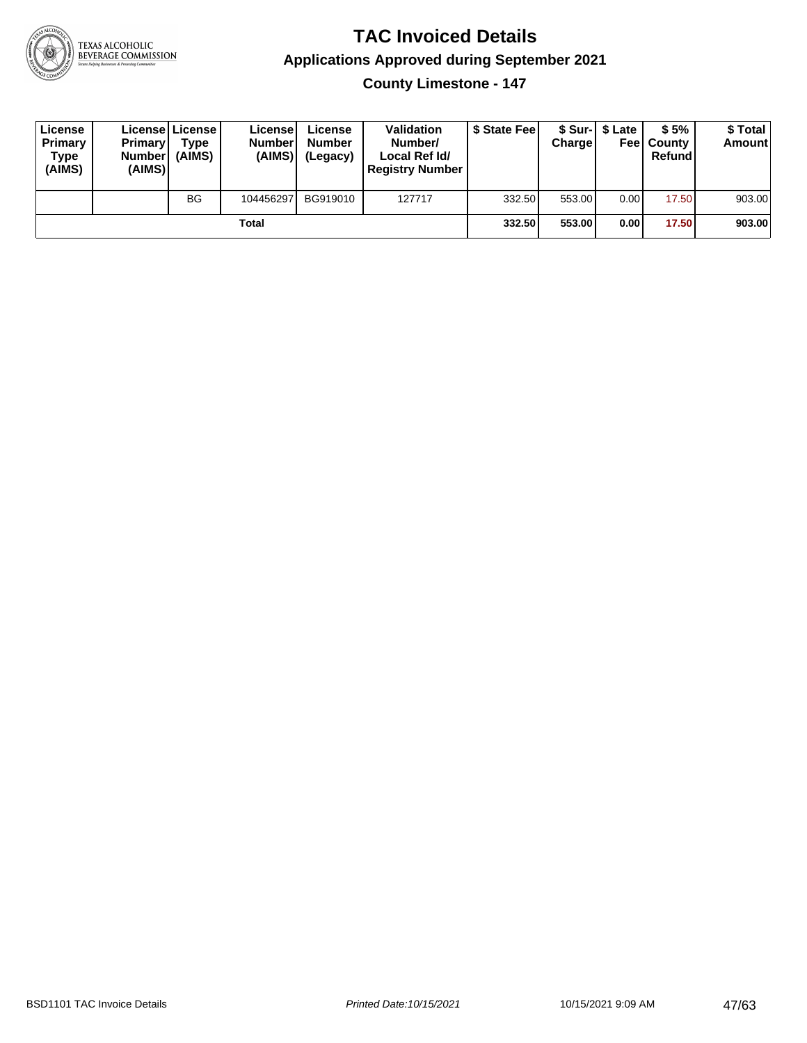

**County Limestone - 147**

| License<br>Primary<br>Type<br>(AIMS) | <b>Primary</b><br><b>Number</b><br>(AIMS) | <b>License   License</b><br>Type<br>(AIMS) | License<br><b>Number</b><br>(AIMS) | License<br><b>Number</b><br>(Legacy) | <b>Validation</b><br>Number/<br>Local Ref Id/<br><b>Registry Number</b> | \$ State Feel | Charge | \$ Sur-1 \$ Late | \$5%<br><b>Feel County</b><br>Refund | \$ Total<br><b>Amount</b> |
|--------------------------------------|-------------------------------------------|--------------------------------------------|------------------------------------|--------------------------------------|-------------------------------------------------------------------------|---------------|--------|------------------|--------------------------------------|---------------------------|
|                                      |                                           | BG                                         | 104456297                          | BG919010                             | 127717                                                                  | 332.50        | 553.00 | 0.00             | 17.50                                | 903.00                    |
|                                      |                                           |                                            | Total                              |                                      |                                                                         | 332.50        | 553.00 | 0.00             | 17.50                                | 903.00                    |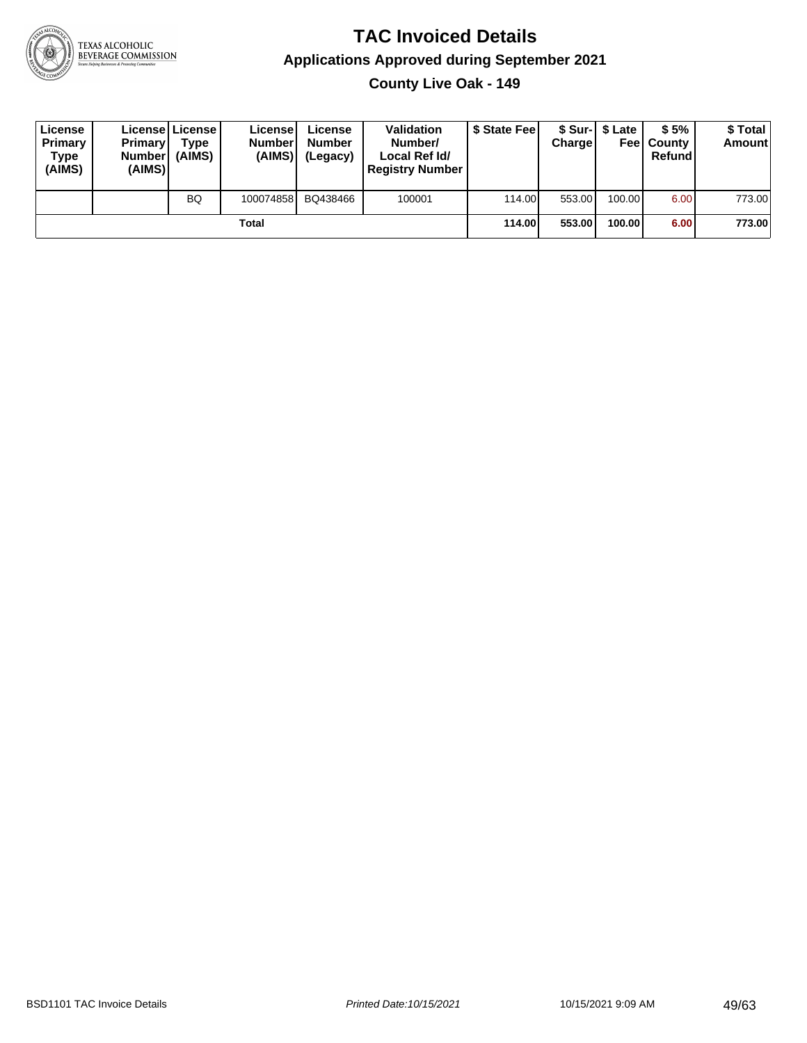

**County Live Oak - 149**

| License<br>Primary<br>Type<br>(AIMS) | <b>Primary</b><br>Number<br>(AIMS) | License   License  <br>Type<br>(AIMS) | License<br><b>Number</b><br>(AIMS) | License<br><b>Number</b><br>(Legacy) | <b>Validation</b><br>Number/<br>Local Ref Id/<br><b>Registry Number</b> | \$ State Feel | Charge | \$ Sur-1 \$ Late | \$5%<br><b>Feel County</b><br>Refund | \$ Total<br><b>Amount</b> |
|--------------------------------------|------------------------------------|---------------------------------------|------------------------------------|--------------------------------------|-------------------------------------------------------------------------|---------------|--------|------------------|--------------------------------------|---------------------------|
|                                      |                                    | <b>BQ</b>                             | 100074858                          | BQ438466                             | 100001                                                                  | 114.00        | 553.00 | 100.00 l         | 6.00                                 | 773.00                    |
|                                      |                                    |                                       | Total                              |                                      |                                                                         | 114.00        | 553.00 | 100.00           | 6.00                                 | 773.00                    |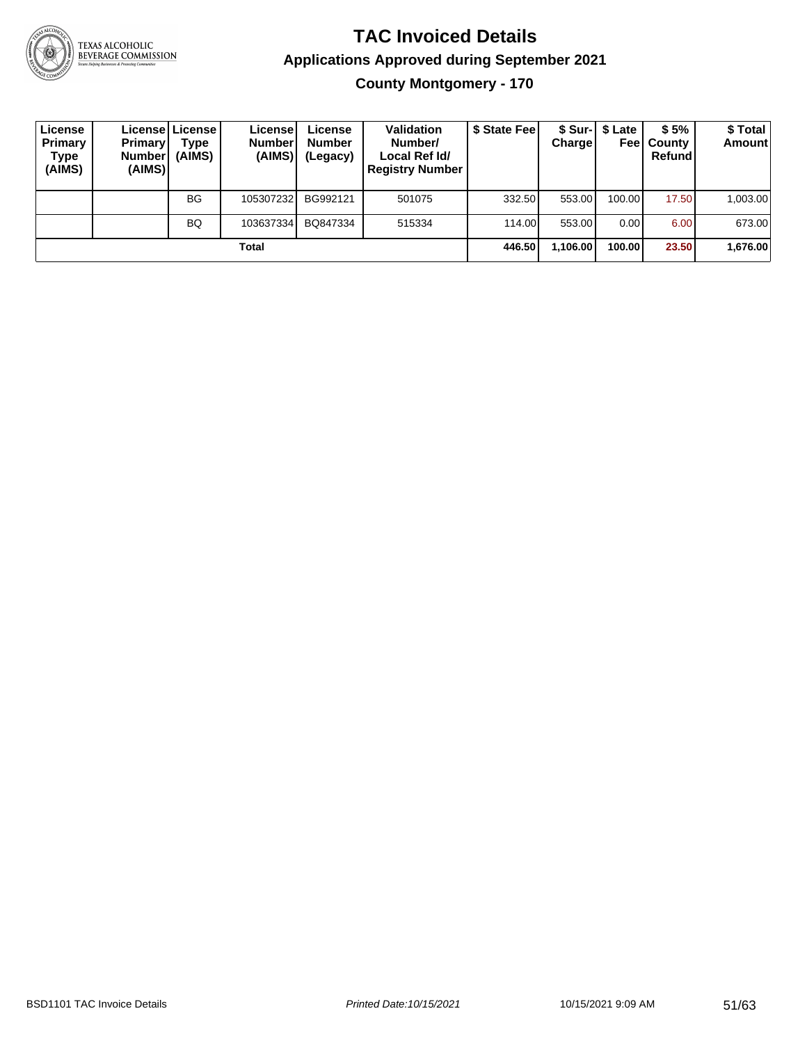

TEXAS ALCOHOLIC<br>BEVERAGE COMMISSION

#### **TAC Invoiced Details Applications Approved during September 2021 County Montgomery - 170**

| License<br>Primary<br>Type<br>(AIMS) | <b>Primary</b><br><b>Number</b><br>(AIMS) | License   License  <br>Type<br>(AIMS) | License!<br><b>Number</b><br>(AIMS) | License<br><b>Number</b><br>(Legacy) | <b>Validation</b><br>Number/<br>Local Ref Id/<br><b>Registry Number</b> | \$ State Fee | <b>Charge</b> | \$ Sur-1 \$ Late<br>Feel | \$5%<br>County<br>Refund | \$ Total<br><b>Amount</b> |
|--------------------------------------|-------------------------------------------|---------------------------------------|-------------------------------------|--------------------------------------|-------------------------------------------------------------------------|--------------|---------------|--------------------------|--------------------------|---------------------------|
|                                      |                                           | <b>BG</b>                             | 105307232                           | BG992121                             | 501075                                                                  | 332.50       | 553.00        | 100.00                   | 17.50                    | 1,003.00                  |
|                                      |                                           | <b>BQ</b>                             | 103637334                           | BQ847334                             | 515334                                                                  | 114.00       | 553.00        | 0.00                     | 6.00                     | 673.00                    |
|                                      |                                           |                                       | Total                               |                                      |                                                                         | 446.50       | 1,106.00      | 100.00                   | 23.50                    | 1,676.00                  |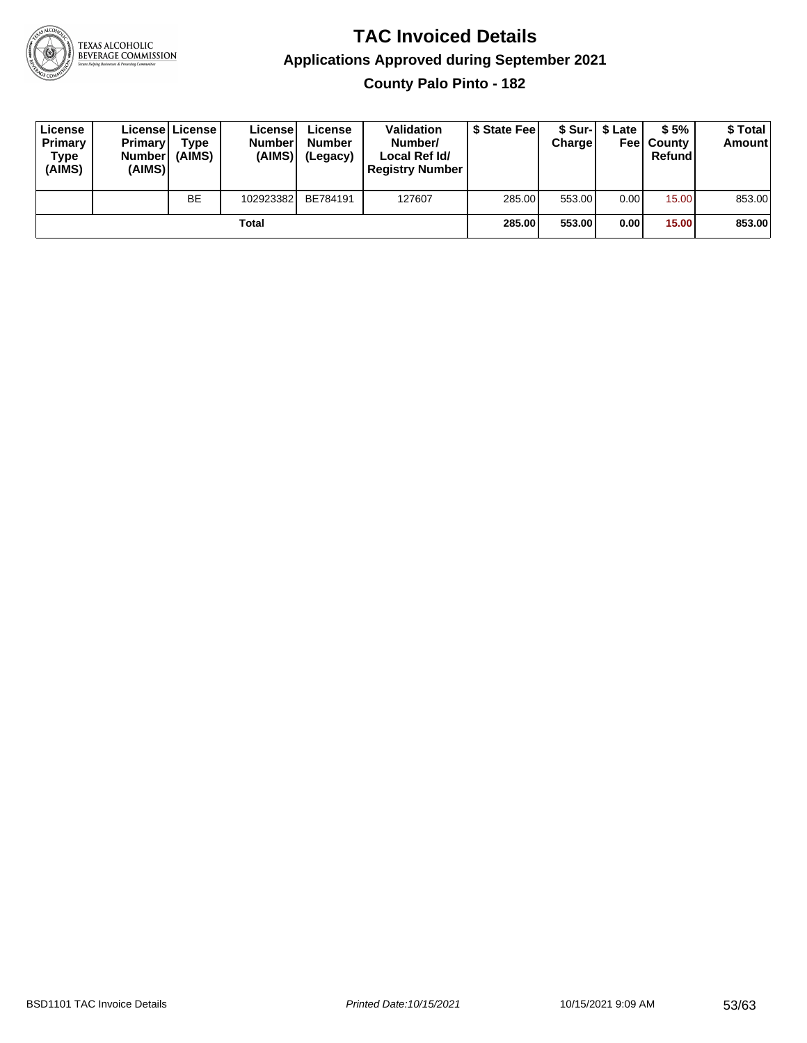

**County Palo Pinto - 182**

| License<br>Primary<br>Type<br>(AIMS) | <b>Primary</b><br><b>Number</b><br>(AIMS) | <b>License   License</b><br>Type<br>(AIMS) | License<br><b>Number</b><br>(AIMS) | License<br><b>Number</b><br>(Legacy) | <b>Validation</b><br>Number/<br>Local Ref Id/<br><b>Registry Number</b> | \$ State Feel | Charge | \$ Sur-1 \$ Late | \$5%<br><b>Feel County</b><br>Refund | \$ Total<br><b>Amount</b> |
|--------------------------------------|-------------------------------------------|--------------------------------------------|------------------------------------|--------------------------------------|-------------------------------------------------------------------------|---------------|--------|------------------|--------------------------------------|---------------------------|
|                                      |                                           | <b>BE</b>                                  | 102923382                          | BE784191                             | 127607                                                                  | 285.00        | 553.00 | 0.00             | 15.00                                | 853.00                    |
|                                      |                                           |                                            | Total                              |                                      |                                                                         | 285.00        | 553.00 | 0.00             | 15.00                                | 853.00                    |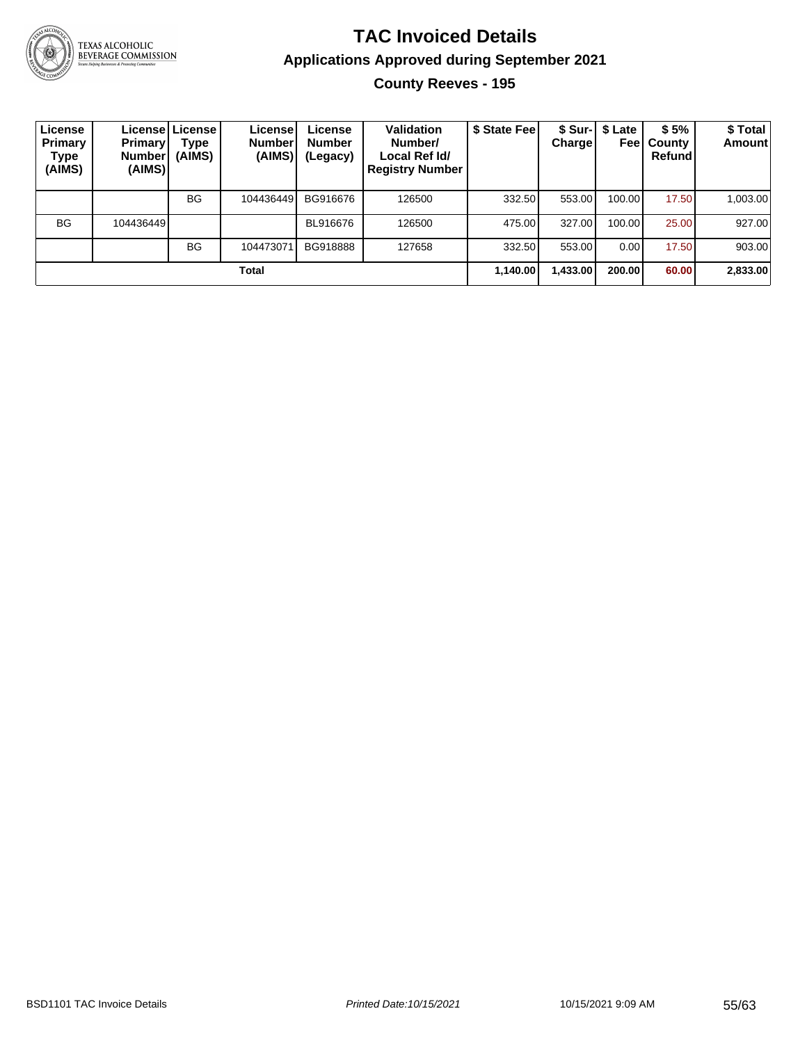

TEXAS ALCOHOLIC<br>BEVERAGE COMMISSION

#### **TAC Invoiced Details Applications Approved during September 2021 County Reeves - 195**

| License<br><b>Primary</b><br>Type<br>(AIMS) | <b>Primary</b><br><b>Number</b><br>(AIMS) | License License<br>Type<br>(AIMS) | License<br><b>Number</b><br>(AIMS) | License<br><b>Number</b><br>(Legacy) | Validation<br>Number/<br>Local Ref Id/<br><b>Registry Number</b> | \$ State Feel | <b>Charge</b> | \$ Sur-   \$ Late<br>Feel | \$5%<br>County<br>Refundl | \$ Total<br><b>Amount</b> |
|---------------------------------------------|-------------------------------------------|-----------------------------------|------------------------------------|--------------------------------------|------------------------------------------------------------------|---------------|---------------|---------------------------|---------------------------|---------------------------|
|                                             |                                           | <b>BG</b>                         | 104436449                          | BG916676                             | 126500                                                           | 332.50        | 553.00        | 100.00                    | 17.50                     | 1,003.00                  |
| <b>BG</b>                                   | 104436449                                 |                                   |                                    | BL916676                             | 126500                                                           | 475.00        | 327.00        | 100.00                    | 25.00                     | 927.00                    |
|                                             |                                           | <b>BG</b>                         | 104473071                          | BG918888                             | 127658                                                           | 332.50        | 553.00        | 0.00                      | 17.50                     | 903.00                    |
|                                             |                                           |                                   | Total                              |                                      |                                                                  | 1,140.00      | 1,433.00      | 200.00                    | 60.00                     | 2,833.00                  |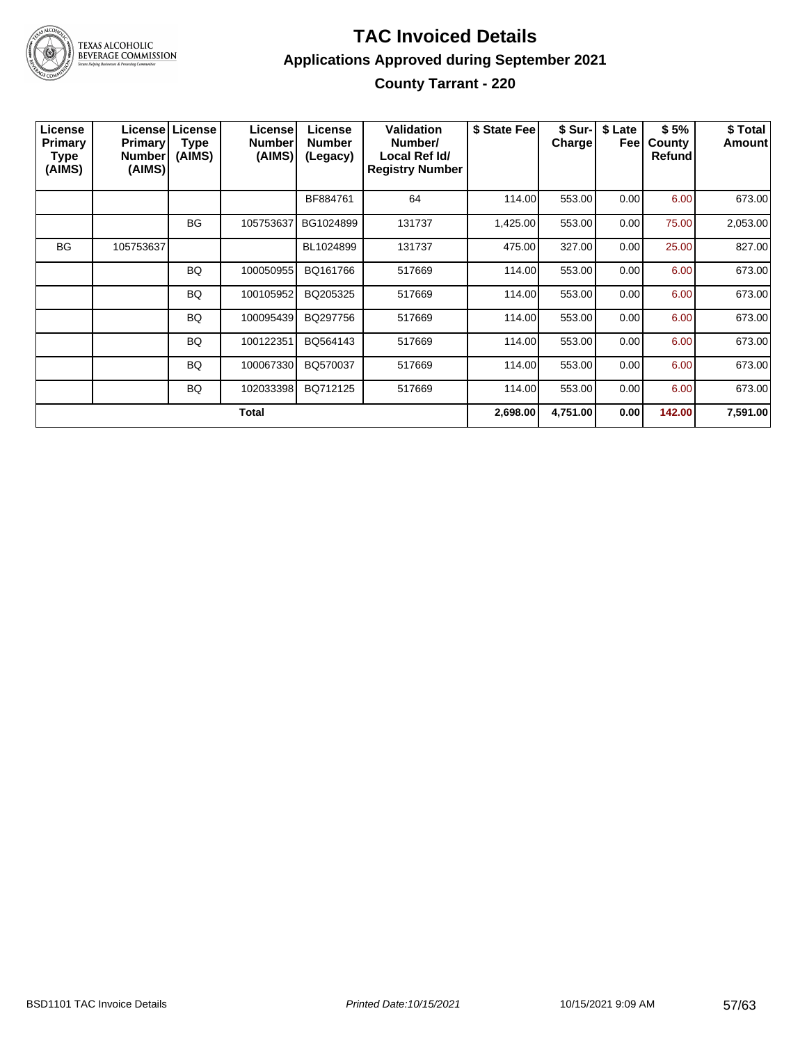

#### **TAC Invoiced Details Applications Approved during September 2021 County Tarrant - 220**

| License<br>Primary<br>Type<br>(AIMS) | <b>Primary</b><br><b>Number</b><br>(AIMS) | <b>Licensel License</b><br>Type<br>(AIMS) | License<br><b>Number</b><br>(AIMS) | License<br><b>Number</b><br>(Legacy) | <b>Validation</b><br>Number/<br>Local Ref Id/<br><b>Registry Number</b> | \$ State Fee | \$ Sur-I<br><b>Charge</b> | \$ Late<br>Feel | \$5%<br>County<br>Refund | \$ Total<br>Amount |
|--------------------------------------|-------------------------------------------|-------------------------------------------|------------------------------------|--------------------------------------|-------------------------------------------------------------------------|--------------|---------------------------|-----------------|--------------------------|--------------------|
|                                      |                                           |                                           |                                    | BF884761                             | 64                                                                      | 114.00       | 553.00                    | 0.00            | 6.00                     | 673.00             |
|                                      |                                           | <b>BG</b>                                 | 105753637                          | BG1024899                            | 131737                                                                  | 1,425.00     | 553.00                    | 0.00            | 75.00                    | 2,053.00           |
| <b>BG</b>                            | 105753637                                 |                                           |                                    | BL1024899                            | 131737                                                                  | 475.00       | 327.00                    | 0.00            | 25.00                    | 827.00             |
|                                      |                                           | BQ                                        | 100050955                          | BQ161766                             | 517669                                                                  | 114.00       | 553.00                    | 0.00            | 6.00                     | 673.00             |
|                                      |                                           | BQ                                        | 100105952                          | BQ205325                             | 517669                                                                  | 114.00       | 553.00                    | 0.00            | 6.00                     | 673.00             |
|                                      |                                           | BQ                                        | 100095439                          | BQ297756                             | 517669                                                                  | 114.00       | 553.00                    | 0.00            | 6.00                     | 673.00             |
|                                      |                                           | BQ                                        | 100122351                          | BQ564143                             | 517669                                                                  | 114.00       | 553.00                    | 0.00            | 6.00                     | 673.00             |
|                                      |                                           | <b>BQ</b>                                 | 100067330                          | BQ570037                             | 517669                                                                  | 114.00       | 553.00                    | 0.00            | 6.00                     | 673.00             |
|                                      |                                           | BQ                                        | 102033398                          | BQ712125                             | 517669                                                                  | 114.00       | 553.00                    | 0.00            | 6.00                     | 673.00             |
|                                      |                                           |                                           | <b>Total</b>                       |                                      |                                                                         | 2,698.00     | 4,751.00                  | 0.00            | 142.00                   | 7,591.00           |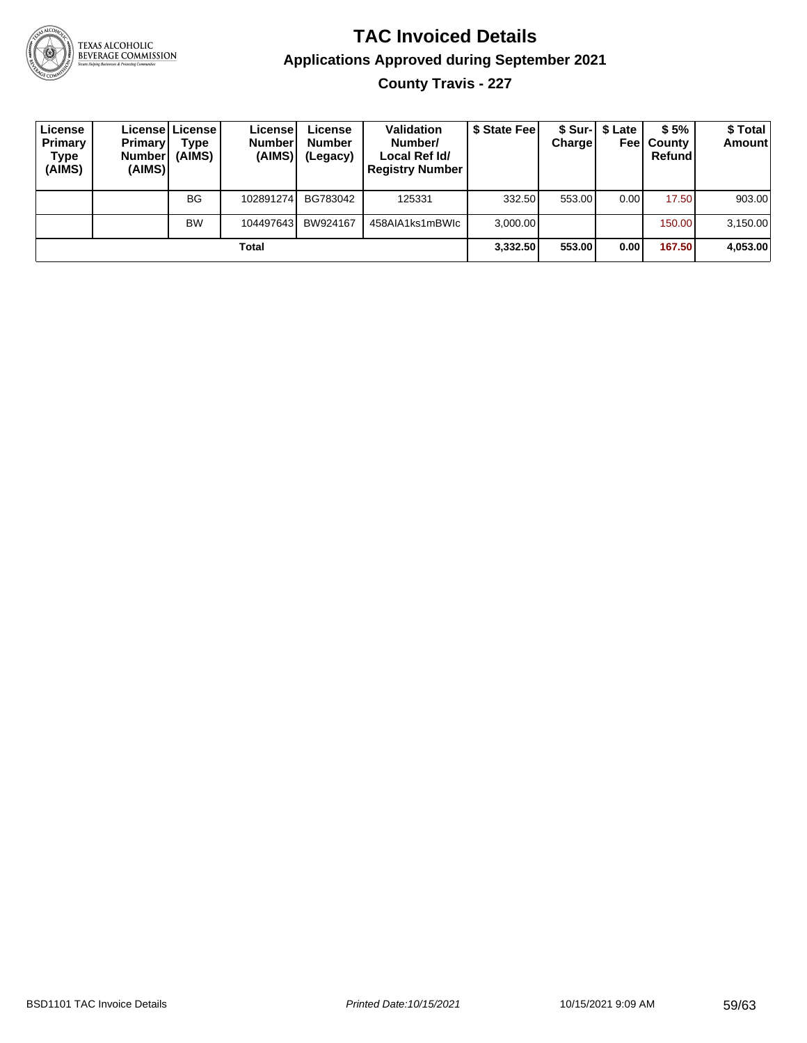

# TEXAS ALCOHOLIC<br>BEVERAGE COMMISSION

#### **TAC Invoiced Details Applications Approved during September 2021 County Travis - 227**

| License<br>Primary<br>Type<br>(AIMS) | <b>Primary</b><br><b>Number</b><br>(AIMS) | Licensel License I<br>Type<br>(AIMS) | License <sup>®</sup><br><b>Number</b><br>(AIMS) | License<br><b>Number</b><br>(Legacy) | Validation<br>Number/<br>Local Ref Id/<br><b>Registry Number</b> | \$ State Fee | <b>Charge</b> | \$ Sur-1 \$ Late<br>Feel | \$5%<br>l Countv<br>Refund | \$ Total<br>Amount |
|--------------------------------------|-------------------------------------------|--------------------------------------|-------------------------------------------------|--------------------------------------|------------------------------------------------------------------|--------------|---------------|--------------------------|----------------------------|--------------------|
|                                      |                                           | <b>BG</b>                            | 102891274                                       | BG783042                             | 125331                                                           | 332.50       | 553.00        | 0.00                     | 17.50                      | 903.00             |
|                                      |                                           | <b>BW</b>                            | 104497643                                       | BW924167                             | 458AIA1ks1mBWIc                                                  | 3.000.00     |               |                          | 150.00                     | 3,150.00           |
|                                      |                                           |                                      | Total                                           |                                      |                                                                  | 3.332.50     | 553.00        | 0.00                     | 167.50                     | 4,053.00           |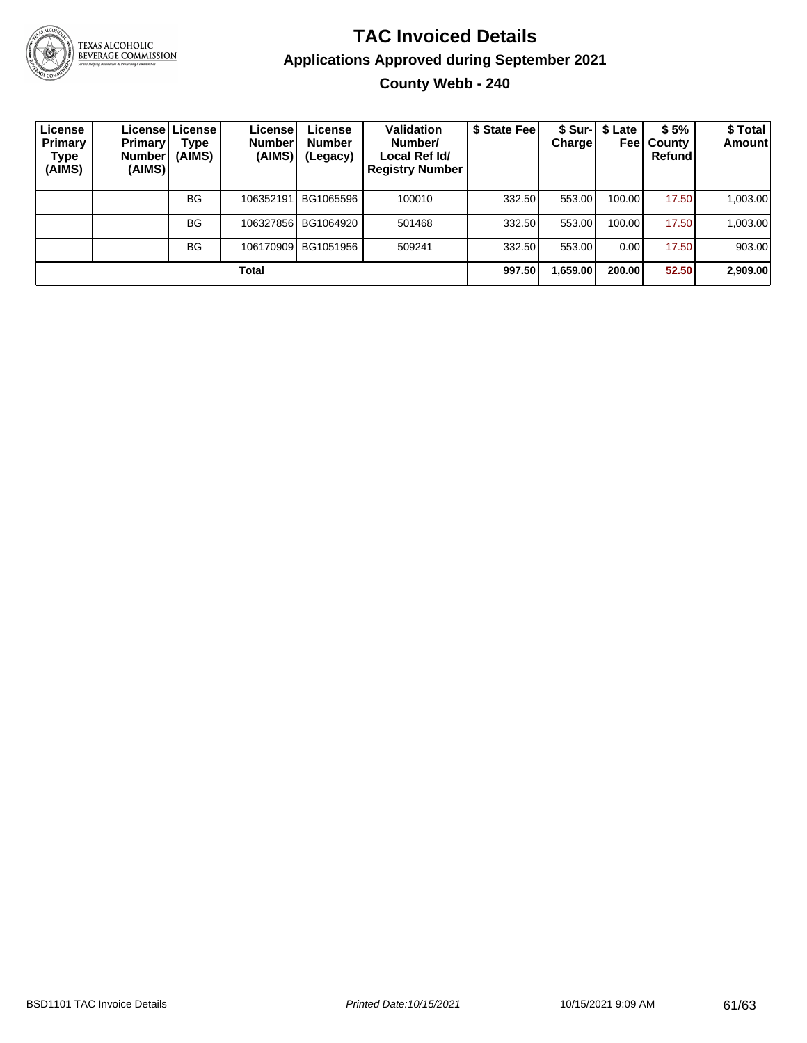

TEXAS ALCOHOLIC<br>BEVERAGE COMMISSION

#### **TAC Invoiced Details Applications Approved during September 2021 County Webb - 240**

| License<br><b>Primary</b><br>Type<br>(AIMS) | <b>Primary</b><br>Number <sup>'</sup><br>(AIMS) | License License<br>Type<br>(AIMS) | License!<br><b>Number</b><br>(AIMS) | License<br><b>Number</b><br>(Legacy) | Validation<br>Number/<br>Local Ref Id/<br><b>Registry Number</b> | \$ State Fee | Chargel  | \$ Sur-1 \$ Late<br>Feel | \$5%<br>County<br>Refundl | \$ Total<br><b>Amount</b> |
|---------------------------------------------|-------------------------------------------------|-----------------------------------|-------------------------------------|--------------------------------------|------------------------------------------------------------------|--------------|----------|--------------------------|---------------------------|---------------------------|
|                                             |                                                 | <b>BG</b>                         | 106352191                           | BG1065596                            | 100010                                                           | 332.50       | 553.00   | 100.00                   | 17.50                     | 1,003.00                  |
|                                             |                                                 | <b>BG</b>                         |                                     | 106327856 BG1064920                  | 501468                                                           | 332.50       | 553.00   | 100.00                   | 17.50                     | 1,003.00                  |
|                                             |                                                 | <b>BG</b>                         | 106170909                           | BG1051956                            | 509241                                                           | 332.50       | 553.00   | 0.00                     | 17.50                     | 903.00                    |
|                                             |                                                 |                                   | Total                               |                                      |                                                                  | 997.50       | 1,659.00 | 200.00                   | 52.50                     | 2,909.00                  |